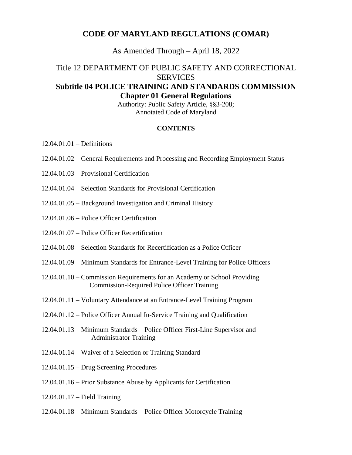### **CODE OF MARYLAND REGULATIONS (COMAR)**

As Amended Through – April 18, 2022

## Title 12 DEPARTMENT OF PUBLIC SAFETY AND CORRECTIONAL **SERVICES Subtitle 04 POLICE TRAINING AND STANDARDS COMMISSION Chapter 01 General Regulations**

Authority: Public Safety Article, §§3-208; Annotated Code of Maryland

#### **CONTENTS**

12.04.01.01 – Definitions

- 12.04.01.02 General Requirements and Processing and Recording Employment Status
- 12.04.01.03 Provisional Certification
- 12.04.01.04 Selection Standards for Provisional Certification
- 12.04.01.05 Background Investigation and Criminal History
- 12.04.01.06 Police Officer Certification
- 12.04.01.07 Police Officer Recertification
- 12.04.01.08 Selection Standards for Recertification as a Police Officer
- 12.04.01.09 Minimum Standards for Entrance-Level Training for Police Officers
- 12.04.01.10 Commission Requirements for an Academy or School Providing Commission-Required Police Officer Training
- 12.04.01.11 Voluntary Attendance at an Entrance-Level Training Program
- 12.04.01.12 Police Officer Annual In-Service Training and Qualification
- 12.04.01.13 Minimum Standards Police Officer First-Line Supervisor and Administrator Training
- 12.04.01.14 Waiver of a Selection or Training Standard
- 12.04.01.15 Drug Screening Procedures
- 12.04.01.16 Prior Substance Abuse by Applicants for Certification
- 12.04.01.17 Field Training
- 12.04.01.18 Minimum Standards Police Officer Motorcycle Training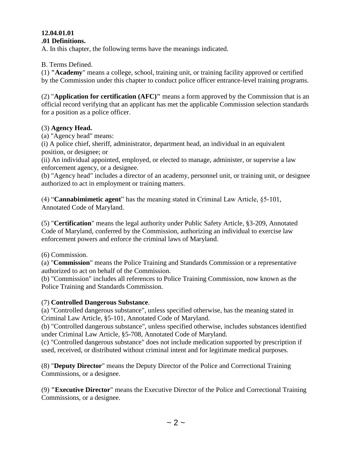#### **12.04.01.01 .01 Definitions.**

A. In this chapter, the following terms have the meanings indicated.

B. Terms Defined.

(1) **"Academy**" means a college, school, training unit, or training facility approved or certified by the Commission under this chapter to conduct police officer entrance-level training programs.

(2) "**Application for certification (AFC)"** means a form approved by the Commission that is an official record verifying that an applicant has met the applicable Commission selection standards for a position as a police officer.

### (3) **Agency Head.**

(a) "Agency head" means:

(i) A police chief, sheriff, administrator, department head, an individual in an equivalent position, or designee; or

(ii) An individual appointed, employed, or elected to manage, administer, or supervise a law enforcement agency, or a designee.

(b) "Agency head" includes a director of an academy, personnel unit, or training unit, or designee authorized to act in employment or training matters.

(4) "**Cannabimimetic agent**" has the meaning stated in Criminal Law Article, §5-101, Annotated Code of Maryland.

(5) "**Certification**" means the legal authority under Public Safety Article, §3-209, Annotated Code of Maryland, conferred by the Commission, authorizing an individual to exercise law enforcement powers and enforce the criminal laws of Maryland.

(6) Commission.

(a) "**Commission**" means the Police Training and Standards Commission or a representative authorized to act on behalf of the Commission.

(b) "Commission" includes all references to Police Training Commission, now known as the Police Training and Standards Commission.

### (7) **Controlled Dangerous Substance**.

(a) "Controlled dangerous substance", unless specified otherwise, has the meaning stated in Criminal Law Article, §5-101, Annotated Code of Maryland.

(b) "Controlled dangerous substance", unless specified otherwise, includes substances identified under Criminal Law Article, §5-708, Annotated Code of Maryland.

(c) "Controlled dangerous substance" does not include medication supported by prescription if used, received, or distributed without criminal intent and for legitimate medical purposes.

(8) "**Deputy Director**" means the Deputy Director of the Police and Correctional Training Commissions, or a designee.

(9) **"Executive Director**" means the Executive Director of the Police and Correctional Training Commissions, or a designee.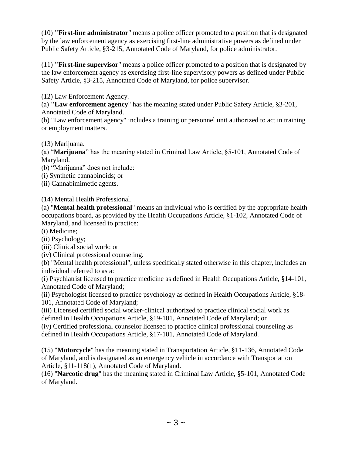(10) **"First-line administrator**" means a police officer promoted to a position that is designated by the law enforcement agency as exercising first-line administrative powers as defined under Public Safety Article, §3-215, Annotated Code of Maryland, for police administrator.

(11) **"First-line supervisor**" means a police officer promoted to a position that is designated by the law enforcement agency as exercising first-line supervisory powers as defined under Public Safety Article, §3-215, Annotated Code of Maryland, for police supervisor.

(12) Law Enforcement Agency.

(a) **"Law enforcement agency**" has the meaning stated under Public Safety Article, §3-201, Annotated Code of Maryland.

(b) "Law enforcement agency" includes a training or personnel unit authorized to act in training or employment matters.

(13) Marijuana.

(a) "**Marijuana**" has the meaning stated in Criminal Law Article, §5-101, Annotated Code of Maryland.

(b) "Marijuana" does not include:

(i) Synthetic cannabinoids; or

(ii) Cannabimimetic agents.

(14) Mental Health Professional.

(a) "**Mental health professional**" means an individual who is certified by the appropriate health occupations board, as provided by the Health Occupations Article, §1-102, Annotated Code of Maryland, and licensed to practice:

(i) Medicine;

(ii) Psychology;

(iii) Clinical social work; or

(iv) Clinical professional counseling.

(b) "Mental health professional", unless specifically stated otherwise in this chapter, includes an individual referred to as a:

(i) Psychiatrist licensed to practice medicine as defined in Health Occupations Article, §14-101, Annotated Code of Maryland;

(ii) Psychologist licensed to practice psychology as defined in Health Occupations Article, §18- 101, Annotated Code of Maryland;

(iii) Licensed certified social worker-clinical authorized to practice clinical social work as defined in Health Occupations Article, §19-101, Annotated Code of Maryland; or

(iv) Certified professional counselor licensed to practice clinical professional counseling as defined in Health Occupations Article, §17-101, Annotated Code of Maryland.

(15) "**Motorcycle**" has the meaning stated in Transportation Article, §11-136, Annotated Code of Maryland, and is designated as an emergency vehicle in accordance with Transportation Article, §11-118(1), Annotated Code of Maryland.

(16) "**Narcotic drug**" has the meaning stated in Criminal Law Article, §5-101, Annotated Code of Maryland.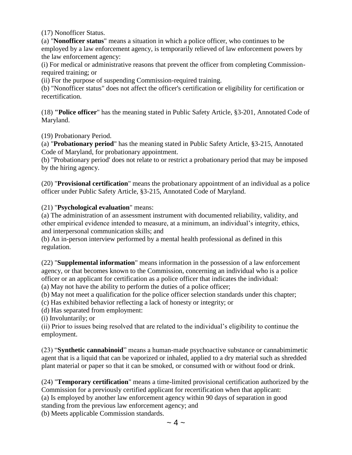(17) Nonofficer Status.

(a) "**Nonofficer status**" means a situation in which a police officer, who continues to be employed by a law enforcement agency, is temporarily relieved of law enforcement powers by the law enforcement agency:

(i) For medical or administrative reasons that prevent the officer from completing Commissionrequired training; or

(ii) For the purpose of suspending Commission-required training.

(b) "Nonofficer status" does not affect the officer's certification or eligibility for certification or recertification.

(18) **"Police officer**" has the meaning stated in Public Safety Article, §3-201, Annotated Code of Maryland.

(19) Probationary Period.

(a) "**Probationary period**" has the meaning stated in Public Safety Article, §3-215, Annotated Code of Maryland, for probationary appointment.

(b) "Probationary period' does not relate to or restrict a probationary period that may be imposed by the hiring agency.

(20) "**Provisional certification**" means the probationary appointment of an individual as a police officer under Public Safety Article, §3-215, Annotated Code of Maryland.

(21) "**Psychological evaluation**" means:

(a) The administration of an assessment instrument with documented reliability, validity, and other empirical evidence intended to measure, at a minimum, an individual's integrity, ethics, and interpersonal communication skills; and

(b) An in-person interview performed by a mental health professional as defined in this regulation.

(22) "**Supplemental information**" means information in the possession of a law enforcement agency, or that becomes known to the Commission, concerning an individual who is a police officer or an applicant for certification as a police officer that indicates the individual:

(a) May not have the ability to perform the duties of a police officer;

(b) May not meet a qualification for the police officer selection standards under this chapter;

(c) Has exhibited behavior reflecting a lack of honesty or integrity; or

(d) Has separated from employment:

(i) Involuntarily; or

(ii) Prior to issues being resolved that are related to the individual's eligibility to continue the employment.

(23) "**Synthetic cannabinoid**" means a human-made psychoactive substance or cannabimimetic agent that is a liquid that can be vaporized or inhaled, applied to a dry material such as shredded plant material or paper so that it can be smoked, or consumed with or without food or drink.

(24) "**Temporary certification**" means a time-limited provisional certification authorized by the Commission for a previously certified applicant for recertification when that applicant: (a) Is employed by another law enforcement agency within 90 days of separation in good standing from the previous law enforcement agency; and (b) Meets applicable Commission standards.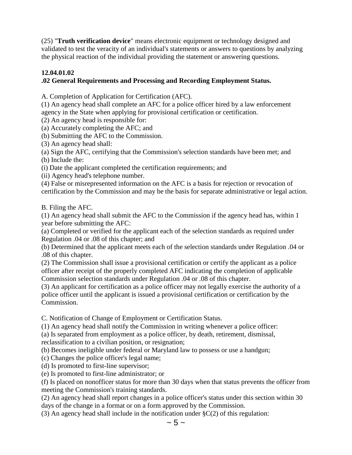(25) "**Truth verification device**" means electronic equipment or technology designed and validated to test the veracity of an individual's statements or answers to questions by analyzing the physical reaction of the individual providing the statement or answering questions.

## **12.04.01.02**

## **.02 General Requirements and Processing and Recording Employment Status.**

A. Completion of Application for Certification (AFC).

(1) An agency head shall complete an AFC for a police officer hired by a law enforcement agency in the State when applying for provisional certification or certification.

(2) An agency head is responsible for:

(a) Accurately completing the AFC; and

(b) Submitting the AFC to the Commission.

(3) An agency head shall:

(a) Sign the AFC, certifying that the Commission's selection standards have been met; and (b) Include the:

(i) Date the applicant completed the certification requirements; and

(ii) Agency head's telephone number.

(4) False or misrepresented information on the AFC is a basis for rejection or revocation of certification by the Commission and may be the basis for separate administrative or legal action.

B. Filing the AFC.

(1) An agency head shall submit the AFC to the Commission if the agency head has, within 1 year before submitting the AFC:

(a) Completed or verified for the applicant each of the selection standards as required under Regulation .04 or .08 of this chapter; and

(b) Determined that the applicant meets each of the selection standards under Regulation .04 or .08 of this chapter.

(2) The Commission shall issue a provisional certification or certify the applicant as a police officer after receipt of the properly completed AFC indicating the completion of applicable Commission selection standards under Regulation .04 or .08 of this chapter.

(3) An applicant for certification as a police officer may not legally exercise the authority of a police officer until the applicant is issued a provisional certification or certification by the Commission.

C. Notification of Change of Employment or Certification Status.

(1) An agency head shall notify the Commission in writing whenever a police officer:

(a) Is separated from employment as a police officer, by death, retirement, dismissal, reclassification to a civilian position, or resignation;

(b) Becomes ineligible under federal or Maryland law to possess or use a handgun;

(c) Changes the police officer's legal name;

(d) Is promoted to first-line supervisor;

(e) Is promoted to first-line administrator; or

(f) Is placed on nonofficer status for more than 30 days when that status prevents the officer from meeting the Commission's training standards.

(2) An agency head shall report changes in a police officer's status under this section within 30 days of the change in a format or on a form approved by the Commission.

(3) An agency head shall include in the notification under  $\S C(2)$  of this regulation: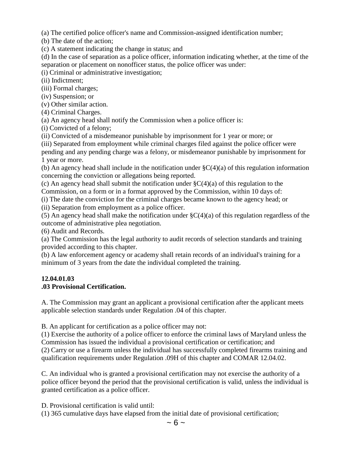(a) The certified police officer's name and Commission-assigned identification number;

(b) The date of the action;

(c) A statement indicating the change in status; and

(d) In the case of separation as a police officer, information indicating whether, at the time of the separation or placement on nonofficer status, the police officer was under:

(i) Criminal or administrative investigation;

(ii) Indictment;

(iii) Formal charges;

(iv) Suspension; or

(v) Other similar action.

(4) Criminal Charges.

(a) An agency head shall notify the Commission when a police officer is:

(i) Convicted of a felony;

(ii) Convicted of a misdemeanor punishable by imprisonment for 1 year or more; or

(iii) Separated from employment while criminal charges filed against the police officer were pending and any pending charge was a felony, or misdemeanor punishable by imprisonment for 1 year or more.

(b) An agency head shall include in the notification under  $\zeta C(4)(a)$  of this regulation information concerning the conviction or allegations being reported.

(c) An agency head shall submit the notification under  $\zeta C(4)(a)$  of this regulation to the Commission, on a form or in a format approved by the Commission, within 10 days of:

(i) The date the conviction for the criminal charges became known to the agency head; or

(ii) Separation from employment as a police officer.

(5) An agency head shall make the notification under  $\zeta(C(4))$  of this regulation regardless of the outcome of administrative plea negotiation.

(6) Audit and Records.

(a) The Commission has the legal authority to audit records of selection standards and training provided according to this chapter.

(b) A law enforcement agency or academy shall retain records of an individual's training for a minimum of 3 years from the date the individual completed the training.

### **12.04.01.03**

### **.03 Provisional Certification.**

A. The Commission may grant an applicant a provisional certification after the applicant meets applicable selection standards under Regulation .04 of this chapter.

B. An applicant for certification as a police officer may not:

(1) Exercise the authority of a police officer to enforce the criminal laws of Maryland unless the Commission has issued the individual a provisional certification or certification; and (2) Carry or use a firearm unless the individual has successfully completed firearms training and qualification requirements under Regulation .09H of this chapter and COMAR 12.04.02.

C. An individual who is granted a provisional certification may not exercise the authority of a police officer beyond the period that the provisional certification is valid, unless the individual is granted certification as a police officer.

D. Provisional certification is valid until:

(1) 365 cumulative days have elapsed from the initial date of provisional certification;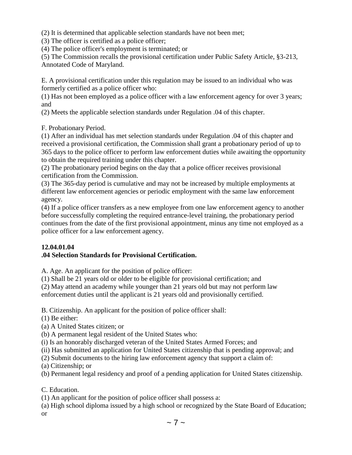(2) It is determined that applicable selection standards have not been met;

(3) The officer is certified as a police officer;

(4) The police officer's employment is terminated; or

(5) The Commission recalls the provisional certification under Public Safety Article, §3-213, Annotated Code of Maryland.

E. A provisional certification under this regulation may be issued to an individual who was formerly certified as a police officer who:

(1) Has not been employed as a police officer with a law enforcement agency for over 3 years; and

(2) Meets the applicable selection standards under Regulation .04 of this chapter.

F. Probationary Period.

(1) After an individual has met selection standards under Regulation .04 of this chapter and received a provisional certification, the Commission shall grant a probationary period of up to 365 days to the police officer to perform law enforcement duties while awaiting the opportunity to obtain the required training under this chapter.

(2) The probationary period begins on the day that a police officer receives provisional certification from the Commission.

(3) The 365-day period is cumulative and may not be increased by multiple employments at different law enforcement agencies or periodic employment with the same law enforcement agency.

(4) If a police officer transfers as a new employee from one law enforcement agency to another before successfully completing the required entrance-level training, the probationary period continues from the date of the first provisional appointment, minus any time not employed as a police officer for a law enforcement agency.

#### **12.04.01.04**

#### **.04 Selection Standards for Provisional Certification.**

A. Age. An applicant for the position of police officer:

(1) Shall be 21 years old or older to be eligible for provisional certification; and

(2) May attend an academy while younger than 21 years old but may not perform law

enforcement duties until the applicant is 21 years old and provisionally certified.

B. Citizenship. An applicant for the position of police officer shall:

(1) Be either:

(a) A United States citizen; or

(b) A permanent legal resident of the United States who:

(i) Is an honorably discharged veteran of the United States Armed Forces; and

(ii) Has submitted an application for United States citizenship that is pending approval; and

(2) Submit documents to the hiring law enforcement agency that support a claim of:

(a) Citizenship; or

(b) Permanent legal residency and proof of a pending application for United States citizenship.

C. Education.

(1) An applicant for the position of police officer shall possess a:

(a) High school diploma issued by a high school or recognized by the State Board of Education; or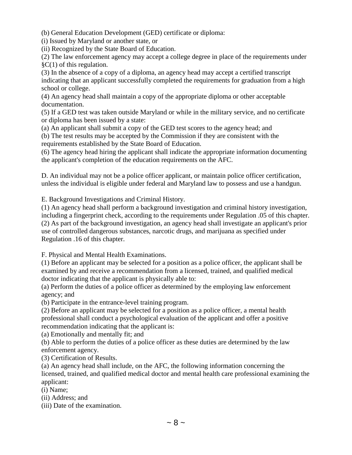(b) General Education Development (GED) certificate or diploma:

(i) Issued by Maryland or another state, or

(ii) Recognized by the State Board of Education.

(2) The law enforcement agency may accept a college degree in place of the requirements under §C(1) of this regulation.

(3) In the absence of a copy of a diploma, an agency head may accept a certified transcript indicating that an applicant successfully completed the requirements for graduation from a high school or college.

(4) An agency head shall maintain a copy of the appropriate diploma or other acceptable documentation.

(5) If a GED test was taken outside Maryland or while in the military service, and no certificate or diploma has been issued by a state:

(a) An applicant shall submit a copy of the GED test scores to the agency head; and

(b) The test results may be accepted by the Commission if they are consistent with the requirements established by the State Board of Education.

(6) The agency head hiring the applicant shall indicate the appropriate information documenting the applicant's completion of the education requirements on the AFC.

D. An individual may not be a police officer applicant, or maintain police officer certification, unless the individual is eligible under federal and Maryland law to possess and use a handgun.

E. Background Investigations and Criminal History.

(1) An agency head shall perform a background investigation and criminal history investigation, including a fingerprint check, according to the requirements under Regulation .05 of this chapter. (2) As part of the background investigation, an agency head shall investigate an applicant's prior use of controlled dangerous substances, narcotic drugs, and marijuana as specified under Regulation .16 of this chapter.

F. Physical and Mental Health Examinations.

(1) Before an applicant may be selected for a position as a police officer, the applicant shall be examined by and receive a recommendation from a licensed, trained, and qualified medical doctor indicating that the applicant is physically able to:

(a) Perform the duties of a police officer as determined by the employing law enforcement agency; and

(b) Participate in the entrance-level training program.

(2) Before an applicant may be selected for a position as a police officer, a mental health professional shall conduct a psychological evaluation of the applicant and offer a positive recommendation indicating that the applicant is:

(a) Emotionally and mentally fit; and

(b) Able to perform the duties of a police officer as these duties are determined by the law enforcement agency.

(3) Certification of Results.

(a) An agency head shall include, on the AFC, the following information concerning the licensed, trained, and qualified medical doctor and mental health care professional examining the applicant:

(i) Name;

(ii) Address; and

(iii) Date of the examination.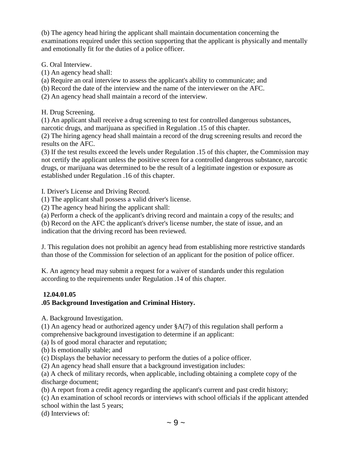(b) The agency head hiring the applicant shall maintain documentation concerning the examinations required under this section supporting that the applicant is physically and mentally and emotionally fit for the duties of a police officer.

G. Oral Interview.

(1) An agency head shall:

(a) Require an oral interview to assess the applicant's ability to communicate; and

- (b) Record the date of the interview and the name of the interviewer on the AFC.
- (2) An agency head shall maintain a record of the interview.

H. Drug Screening.

(1) An applicant shall receive a drug screening to test for controlled dangerous substances, narcotic drugs, and marijuana as specified in Regulation .15 of this chapter.

(2) The hiring agency head shall maintain a record of the drug screening results and record the results on the AFC.

(3) If the test results exceed the levels under Regulation .15 of this chapter, the Commission may not certify the applicant unless the positive screen for a controlled dangerous substance, narcotic drugs, or marijuana was determined to be the result of a legitimate ingestion or exposure as established under Regulation .16 of this chapter.

I. Driver's License and Driving Record.

(1) The applicant shall possess a valid driver's license.

(2) The agency head hiring the applicant shall:

(a) Perform a check of the applicant's driving record and maintain a copy of the results; and

(b) Record on the AFC the applicant's driver's license number, the state of issue, and an indication that the driving record has been reviewed.

J. This regulation does not prohibit an agency head from establishing more restrictive standards than those of the Commission for selection of an applicant for the position of police officer.

K. An agency head may submit a request for a waiver of standards under this regulation according to the requirements under Regulation .14 of this chapter.

### **12.04.01.05**

### **.05 Background Investigation and Criminal History.**

A. Background Investigation.

(1) An agency head or authorized agency under §A(7) of this regulation shall perform a comprehensive background investigation to determine if an applicant:

(a) Is of good moral character and reputation;

(b) Is emotionally stable; and

(c) Displays the behavior necessary to perform the duties of a police officer.

(2) An agency head shall ensure that a background investigation includes:

(a) A check of military records, when applicable, including obtaining a complete copy of the discharge document;

(b) A report from a credit agency regarding the applicant's current and past credit history;

(c) An examination of school records or interviews with school officials if the applicant attended school within the last 5 years;

(d) Interviews of: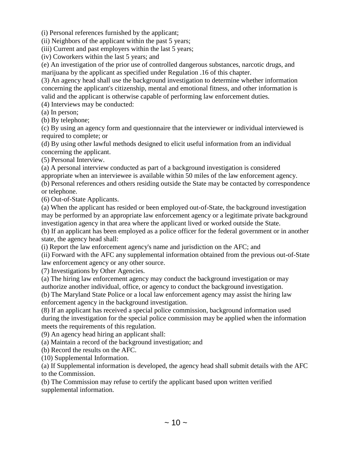(i) Personal references furnished by the applicant;

(ii) Neighbors of the applicant within the past 5 years;

(iii) Current and past employers within the last 5 years;

(iv) Coworkers within the last 5 years; and

(e) An investigation of the prior use of controlled dangerous substances, narcotic drugs, and marijuana by the applicant as specified under Regulation .16 of this chapter.

(3) An agency head shall use the background investigation to determine whether information concerning the applicant's citizenship, mental and emotional fitness, and other information is valid and the applicant is otherwise capable of performing law enforcement duties.

(4) Interviews may be conducted:

(a) In person;

(b) By telephone;

(c) By using an agency form and questionnaire that the interviewer or individual interviewed is required to complete; or

(d) By using other lawful methods designed to elicit useful information from an individual concerning the applicant.

(5) Personal Interview.

(a) A personal interview conducted as part of a background investigation is considered appropriate when an interviewee is available within 50 miles of the law enforcement agency.

(b) Personal references and others residing outside the State may be contacted by correspondence or telephone.

(6) Out-of-State Applicants.

(a) When the applicant has resided or been employed out-of-State, the background investigation may be performed by an appropriate law enforcement agency or a legitimate private background investigation agency in that area where the applicant lived or worked outside the State.

(b) If an applicant has been employed as a police officer for the federal government or in another state, the agency head shall:

(i) Report the law enforcement agency's name and jurisdiction on the AFC; and

(ii) Forward with the AFC any supplemental information obtained from the previous out-of-State law enforcement agency or any other source.

(7) Investigations by Other Agencies.

(a) The hiring law enforcement agency may conduct the background investigation or may authorize another individual, office, or agency to conduct the background investigation.

(b) The Maryland State Police or a local law enforcement agency may assist the hiring law enforcement agency in the background investigation.

(8) If an applicant has received a special police commission, background information used during the investigation for the special police commission may be applied when the information meets the requirements of this regulation.

(9) An agency head hiring an applicant shall:

(a) Maintain a record of the background investigation; and

(b) Record the results on the AFC.

(10) Supplemental Information.

(a) If Supplemental information is developed, the agency head shall submit details with the AFC to the Commission.

(b) The Commission may refuse to certify the applicant based upon written verified supplemental information.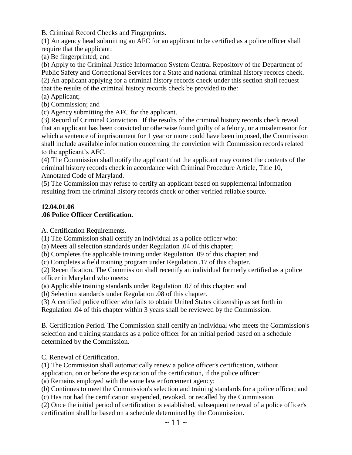B. Criminal Record Checks and Fingerprints.

(1) An agency head submitting an AFC for an applicant to be certified as a police officer shall require that the applicant:

(a) Be fingerprinted; and

(b) Apply to the Criminal Justice Information System Central Repository of the Department of Public Safety and Correctional Services for a State and national criminal history records check. (2) An applicant applying for a criminal history records check under this section shall request that the results of the criminal history records check be provided to the:

(a) Applicant;

(b) Commission; and

(c) Agency submitting the AFC for the applicant.

(3) Record of Criminal Conviction. If the results of the criminal history records check reveal that an applicant has been convicted or otherwise found guilty of a felony, or a misdemeanor for which a sentence of imprisonment for 1 year or more could have been imposed, the Commission shall include available information concerning the conviction with Commission records related to the applicant's AFC.

(4) The Commission shall notify the applicant that the applicant may contest the contents of the criminal history records check in accordance with Criminal Procedure Article, Title 10, Annotated Code of Maryland.

(5) The Commission may refuse to certify an applicant based on supplemental information resulting from the criminal history records check or other verified reliable source.

#### **12.04.01.06 .06 Police Officer Certification.**

A. Certification Requirements.

(1) The Commission shall certify an individual as a police officer who:

(a) Meets all selection standards under Regulation .04 of this chapter;

(b) Completes the applicable training under Regulation .09 of this chapter; and

(c) Completes a field training program under Regulation .17 of this chapter.

(2) Recertification. The Commission shall recertify an individual formerly certified as a police officer in Maryland who meets:

(a) Applicable training standards under Regulation .07 of this chapter; and

(b) Selection standards under Regulation .08 of this chapter.

(3) A certified police officer who fails to obtain United States citizenship as set forth in Regulation .04 of this chapter within 3 years shall be reviewed by the Commission.

B. Certification Period. The Commission shall certify an individual who meets the Commission's selection and training standards as a police officer for an initial period based on a schedule determined by the Commission.

C. Renewal of Certification.

(1) The Commission shall automatically renew a police officer's certification, without

application, on or before the expiration of the certification, if the police officer:

(a) Remains employed with the same law enforcement agency;

(b) Continues to meet the Commission's selection and training standards for a police officer; and

(c) Has not had the certification suspended, revoked, or recalled by the Commission.

(2) Once the initial period of certification is established, subsequent renewal of a police officer's certification shall be based on a schedule determined by the Commission.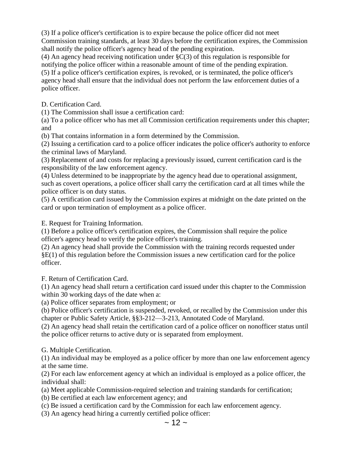(3) If a police officer's certification is to expire because the police officer did not meet Commission training standards, at least 30 days before the certification expires, the Commission shall notify the police officer's agency head of the pending expiration.

(4) An agency head receiving notification under §C(3) of this regulation is responsible for notifying the police officer within a reasonable amount of time of the pending expiration. (5) If a police officer's certification expires, is revoked, or is terminated, the police officer's agency head shall ensure that the individual does not perform the law enforcement duties of a police officer.

D. Certification Card.

(1) The Commission shall issue a certification card:

(a) To a police officer who has met all Commission certification requirements under this chapter; and

(b) That contains information in a form determined by the Commission.

(2) Issuing a certification card to a police officer indicates the police officer's authority to enforce the criminal laws of Maryland.

(3) Replacement of and costs for replacing a previously issued, current certification card is the responsibility of the law enforcement agency.

(4) Unless determined to be inappropriate by the agency head due to operational assignment, such as covert operations, a police officer shall carry the certification card at all times while the police officer is on duty status.

(5) A certification card issued by the Commission expires at midnight on the date printed on the card or upon termination of employment as a police officer.

E. Request for Training Information.

(1) Before a police officer's certification expires, the Commission shall require the police officer's agency head to verify the police officer's training.

(2) An agency head shall provide the Commission with the training records requested under §E(1) of this regulation before the Commission issues a new certification card for the police officer.

F. Return of Certification Card.

(1) An agency head shall return a certification card issued under this chapter to the Commission within 30 working days of the date when a:

(a) Police officer separates from employment; or

(b) Police officer's certification is suspended, revoked, or recalled by the Commission under this chapter or Public Safety Article, §§3-212—3-213, Annotated Code of Maryland.

(2) An agency head shall retain the certification card of a police officer on nonofficer status until the police officer returns to active duty or is separated from employment.

G. Multiple Certification.

(1) An individual may be employed as a police officer by more than one law enforcement agency at the same time.

(2) For each law enforcement agency at which an individual is employed as a police officer, the individual shall:

(a) Meet applicable Commission-required selection and training standards for certification;

(b) Be certified at each law enforcement agency; and

(c) Be issued a certification card by the Commission for each law enforcement agency.

(3) An agency head hiring a currently certified police officer: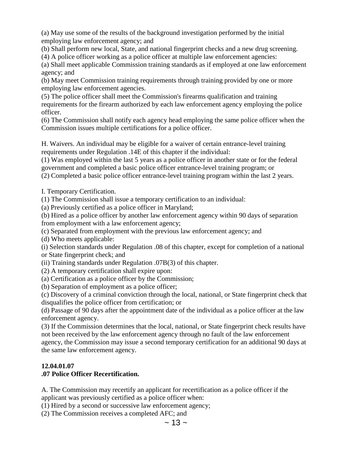(a) May use some of the results of the background investigation performed by the initial employing law enforcement agency; and

(b) Shall perform new local, State, and national fingerprint checks and a new drug screening.

(4) A police officer working as a police officer at multiple law enforcement agencies:

(a) Shall meet applicable Commission training standards as if employed at one law enforcement agency; and

(b) May meet Commission training requirements through training provided by one or more employing law enforcement agencies.

(5) The police officer shall meet the Commission's firearms qualification and training requirements for the firearm authorized by each law enforcement agency employing the police officer.

(6) The Commission shall notify each agency head employing the same police officer when the Commission issues multiple certifications for a police officer.

H. Waivers. An individual may be eligible for a waiver of certain entrance-level training requirements under Regulation .14E of this chapter if the individual:

(1) Was employed within the last 5 years as a police officer in another state or for the federal government and completed a basic police officer entrance-level training program; or

(2) Completed a basic police officer entrance-level training program within the last 2 years.

I. Temporary Certification.

(1) The Commission shall issue a temporary certification to an individual:

(a) Previously certified as a police officer in Maryland;

(b) Hired as a police officer by another law enforcement agency within 90 days of separation from employment with a law enforcement agency;

(c) Separated from employment with the previous law enforcement agency; and

(d) Who meets applicable:

(i) Selection standards under Regulation .08 of this chapter, except for completion of a national or State fingerprint check; and

(ii) Training standards under Regulation .07B(3) of this chapter.

(2) A temporary certification shall expire upon:

(a) Certification as a police officer by the Commission;

(b) Separation of employment as a police officer;

(c) Discovery of a criminal conviction through the local, national, or State fingerprint check that disqualifies the police officer from certification; or

(d) Passage of 90 days after the appointment date of the individual as a police officer at the law enforcement agency.

(3) If the Commission determines that the local, national, or State fingerprint check results have not been received by the law enforcement agency through no fault of the law enforcement agency, the Commission may issue a second temporary certification for an additional 90 days at the same law enforcement agency.

### **12.04.01.07**

### **.07 Police Officer Recertification.**

A. The Commission may recertify an applicant for recertification as a police officer if the applicant was previously certified as a police officer when:

(1) Hired by a second or successive law enforcement agency;

(2) The Commission receives a completed AFC; and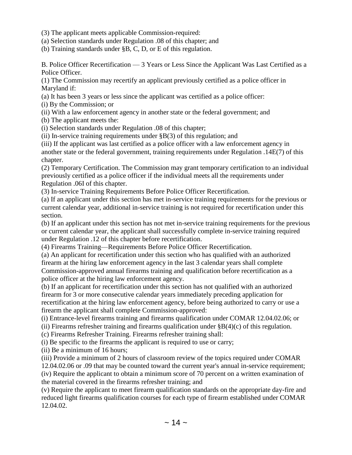(3) The applicant meets applicable Commission-required:

(a) Selection standards under Regulation .08 of this chapter; and

(b) Training standards under §B, C, D, or E of this regulation.

B. Police Officer Recertification — 3 Years or Less Since the Applicant Was Last Certified as a Police Officer.

(1) The Commission may recertify an applicant previously certified as a police officer in Maryland if:

(a) It has been 3 years or less since the applicant was certified as a police officer:

(i) By the Commission; or

(ii) With a law enforcement agency in another state or the federal government; and

(b) The applicant meets the:

(i) Selection standards under Regulation .08 of this chapter;

(ii) In-service training requirements under  $\S$ B(3) of this regulation; and

(iii) If the applicant was last certified as a police officer with a law enforcement agency in another state or the federal government, training requirements under Regulation .14E(7) of this chapter.

(2) Temporary Certification. The Commission may grant temporary certification to an individual previously certified as a police officer if the individual meets all the requirements under Regulation .06I of this chapter.

(3) In-service Training Requirements Before Police Officer Recertification.

(a) If an applicant under this section has met in-service training requirements for the previous or current calendar year, additional in-service training is not required for recertification under this section.

(b) If an applicant under this section has not met in-service training requirements for the previous or current calendar year, the applicant shall successfully complete in-service training required under Regulation .12 of this chapter before recertification.

(4) Firearms Training—Requirements Before Police Officer Recertification.

(a) An applicant for recertification under this section who has qualified with an authorized firearm at the hiring law enforcement agency in the last 3 calendar years shall complete Commission-approved annual firearms training and qualification before recertification as a police officer at the hiring law enforcement agency.

(b) If an applicant for recertification under this section has not qualified with an authorized firearm for 3 or more consecutive calendar years immediately preceding application for recertification at the hiring law enforcement agency, before being authorized to carry or use a firearm the applicant shall complete Commission-approved:

(i) Entrance-level firearms training and firearms qualification under COMAR 12.04.02.06; or

(ii) Firearms refresher training and firearms qualification under  $\S$ B(4)(c) of this regulation.

(c) Firearms Refresher Training. Firearms refresher training shall:

(i) Be specific to the firearms the applicant is required to use or carry;

(ii) Be a minimum of 16 hours;

(iii) Provide a minimum of 2 hours of classroom review of the topics required under COMAR

12.04.02.06 or .09 that may be counted toward the current year's annual in-service requirement; (iv) Require the applicant to obtain a minimum score of 70 percent on a written examination of the material covered in the firearms refresher training; and

(v) Require the applicant to meet firearm qualification standards on the appropriate day-fire and reduced light firearms qualification courses for each type of firearm established under COMAR 12.04.02.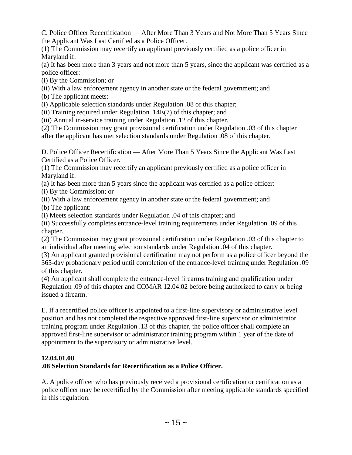C. Police Officer Recertification — After More Than 3 Years and Not More Than 5 Years Since the Applicant Was Last Certified as a Police Officer.

(1) The Commission may recertify an applicant previously certified as a police officer in Maryland if:

(a) It has been more than 3 years and not more than 5 years, since the applicant was certified as a police officer:

- (i) By the Commission; or
- (ii) With a law enforcement agency in another state or the federal government; and
- (b) The applicant meets:

(i) Applicable selection standards under Regulation .08 of this chapter;

(ii) Training required under Regulation .14E(7) of this chapter; and

(iii) Annual in-service training under Regulation .12 of this chapter.

(2) The Commission may grant provisional certification under Regulation .03 of this chapter after the applicant has met selection standards under Regulation .08 of this chapter.

D. Police Officer Recertification — After More Than 5 Years Since the Applicant Was Last Certified as a Police Officer.

(1) The Commission may recertify an applicant previously certified as a police officer in Maryland if:

(a) It has been more than 5 years since the applicant was certified as a police officer:

(i) By the Commission; or

(ii) With a law enforcement agency in another state or the federal government; and

(b) The applicant:

(i) Meets selection standards under Regulation .04 of this chapter; and

(ii) Successfully completes entrance-level training requirements under Regulation .09 of this chapter.

(2) The Commission may grant provisional certification under Regulation .03 of this chapter to an individual after meeting selection standards under Regulation .04 of this chapter.

(3) An applicant granted provisional certification may not perform as a police officer beyond the 365-day probationary period until completion of the entrance-level training under Regulation .09 of this chapter.

(4) An applicant shall complete the entrance-level firearms training and qualification under Regulation .09 of this chapter and COMAR 12.04.02 before being authorized to carry or being issued a firearm.

E. If a recertified police officer is appointed to a first-line supervisory or administrative level position and has not completed the respective approved first-line supervisor or administrator training program under Regulation .13 of this chapter, the police officer shall complete an approved first-line supervisor or administrator training program within 1 year of the date of appointment to the supervisory or administrative level.

### **12.04.01.08**

### **.08 Selection Standards for Recertification as a Police Officer.**

A. A police officer who has previously received a provisional certification or certification as a police officer may be recertified by the Commission after meeting applicable standards specified in this regulation.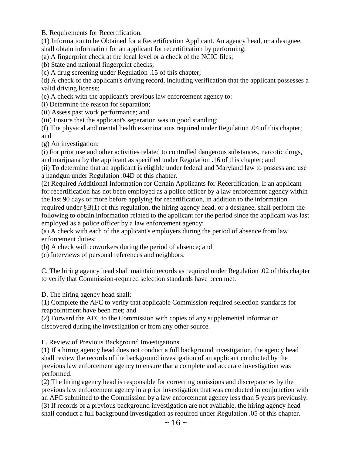B. Requirements for Recertification.

(1) Information to be Obtained for a Recertification Applicant. An agency head, or a designee, shall obtain information for an applicant for recertification by performing:

(a) A fingerprint check at the local level or a check of the NCIC files;

(b) State and national fingerprint checks;

(c) A drug screening under Regulation .15 of this chapter;

(d) A check of the applicant's driving record, including verification that the applicant possesses a valid driving license;

(e) A check with the applicant's previous law enforcement agency to:

(i) Determine the reason for separation;

(ii) Assess past work performance; and

(iii) Ensure that the applicant's separation was in good standing;

(f) The physical and mental health examinations required under Regulation .04 of this chapter; and

(g) An investigation:

(i) For prior use and other activities related to controlled dangerous substances, narcotic drugs, and marijuana by the applicant as specified under Regulation .16 of this chapter; and

(ii) To determine that an applicant is eligible under federal and Maryland law to possess and use a handgun under Regulation .04D of this chapter.

(2) Required Additional Information for Certain Applicants for Recertification. If an applicant for recertification has not been employed as a police officer by a law enforcement agency within the last 90 days or more before applying for recertification, in addition to the information required under §B(1) of this regulation, the hiring agency head, or a designee, shall perform the following to obtain information related to the applicant for the period since the applicant was last employed as a police officer by a law enforcement agency:

(a) A check with each of the applicant's employers during the period of absence from law enforcement duties;

(b) A check with coworkers during the period of absence; and

(c) Interviews of personal references and neighbors.

C. The hiring agency head shall maintain records as required under Regulation .02 of this chapter to verify that Commission-required selection standards have been met.

D. The hiring agency head shall:

(1) Complete the AFC to verify that applicable Commission-required selection standards for reappointment have been met; and

(2) Forward the AFC to the Commission with copies of any supplemental information discovered during the investigation or from any other source.

E. Review of Previous Background Investigations.

(1) If a hiring agency head does not conduct a full background investigation, the agency head shall review the records of the background investigation of an applicant conducted by the previous law enforcement agency to ensure that a complete and accurate investigation was performed.

(2) The hiring agency head is responsible for correcting omissions and discrepancies by the previous law enforcement agency in a prior investigation that was conducted in conjunction with an AFC submitted to the Commission by a law enforcement agency less than 5 years previously. (3) If records of a previous background investigation are not available, the hiring agency head shall conduct a full background investigation as required under Regulation .05 of this chapter.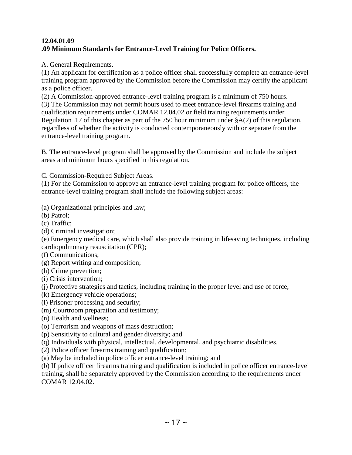### **12.04.01.09 .09 Minimum Standards for Entrance-Level Training for Police Officers.**

A. General Requirements.

(1) An applicant for certification as a police officer shall successfully complete an entrance-level training program approved by the Commission before the Commission may certify the applicant as a police officer.

(2) A Commission-approved entrance-level training program is a minimum of 750 hours. (3) The Commission may not permit hours used to meet entrance-level firearms training and qualification requirements under COMAR 12.04.02 or field training requirements under Regulation .17 of this chapter as part of the 750 hour minimum under §A(2) of this regulation, regardless of whether the activity is conducted contemporaneously with or separate from the entrance-level training program.

B. The entrance-level program shall be approved by the Commission and include the subject areas and minimum hours specified in this regulation.

C. Commission-Required Subject Areas.

(1) For the Commission to approve an entrance-level training program for police officers, the entrance-level training program shall include the following subject areas:

(a) Organizational principles and law;

(b) Patrol;

(c) Traffic;

(d) Criminal investigation;

(e) Emergency medical care, which shall also provide training in lifesaving techniques, including cardiopulmonary resuscitation (CPR);

(f) Communications;

(g) Report writing and composition;

(h) Crime prevention;

(i) Crisis intervention;

(j) Protective strategies and tactics, including training in the proper level and use of force;

- (k) Emergency vehicle operations;
- (l) Prisoner processing and security;
- (m) Courtroom preparation and testimony;
- (n) Health and wellness;
- (o) Terrorism and weapons of mass destruction;
- (p) Sensitivity to cultural and gender diversity; and
- (q) Individuals with physical, intellectual, developmental, and psychiatric disabilities.
- (2) Police officer firearms training and qualification:

(a) May be included in police officer entrance-level training; and

(b) If police officer firearms training and qualification is included in police officer entrance-level training, shall be separately approved by the Commission according to the requirements under COMAR 12.04.02.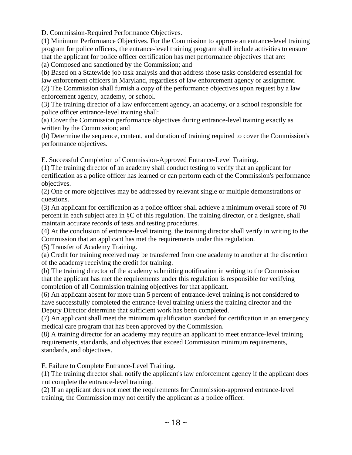D. Commission-Required Performance Objectives.

(1) Minimum Performance Objectives. For the Commission to approve an entrance-level training program for police officers, the entrance-level training program shall include activities to ensure that the applicant for police officer certification has met performance objectives that are: (a) Composed and sanctioned by the Commission; and

(b) Based on a Statewide job task analysis and that address those tasks considered essential for law enforcement officers in Maryland, regardless of law enforcement agency or assignment.

(2) The Commission shall furnish a copy of the performance objectives upon request by a law enforcement agency, academy, or school.

(3) The training director of a law enforcement agency, an academy, or a school responsible for police officer entrance-level training shall:

(a) Cover the Commission performance objectives during entrance-level training exactly as written by the Commission; and

(b) Determine the sequence, content, and duration of training required to cover the Commission's performance objectives.

E. Successful Completion of Commission-Approved Entrance-Level Training.

(1) The training director of an academy shall conduct testing to verify that an applicant for certification as a police officer has learned or can perform each of the Commission's performance objectives.

(2) One or more objectives may be addressed by relevant single or multiple demonstrations or questions.

(3) An applicant for certification as a police officer shall achieve a minimum overall score of 70 percent in each subject area in §C of this regulation. The training director, or a designee, shall maintain accurate records of tests and testing procedures.

(4) At the conclusion of entrance-level training, the training director shall verify in writing to the Commission that an applicant has met the requirements under this regulation.

(5) Transfer of Academy Training.

(a) Credit for training received may be transferred from one academy to another at the discretion of the academy receiving the credit for training.

(b) The training director of the academy submitting notification in writing to the Commission that the applicant has met the requirements under this regulation is responsible for verifying completion of all Commission training objectives for that applicant.

(6) An applicant absent for more than 5 percent of entrance-level training is not considered to have successfully completed the entrance-level training unless the training director and the Deputy Director determine that sufficient work has been completed.

(7) An applicant shall meet the minimum qualification standard for certification in an emergency medical care program that has been approved by the Commission.

(8) A training director for an academy may require an applicant to meet entrance-level training requirements, standards, and objectives that exceed Commission minimum requirements, standards, and objectives.

F. Failure to Complete Entrance-Level Training.

(1) The training director shall notify the applicant's law enforcement agency if the applicant does not complete the entrance-level training.

(2) If an applicant does not meet the requirements for Commission-approved entrance-level training, the Commission may not certify the applicant as a police officer.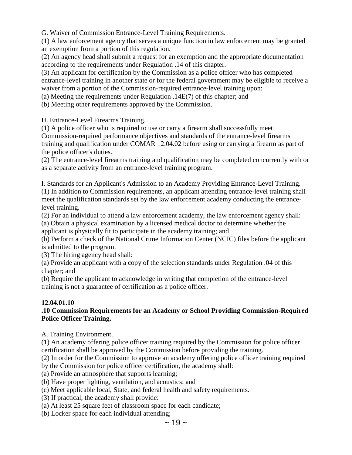G. Waiver of Commission Entrance-Level Training Requirements.

(1) A law enforcement agency that serves a unique function in law enforcement may be granted an exemption from a portion of this regulation.

(2) An agency head shall submit a request for an exemption and the appropriate documentation according to the requirements under Regulation .14 of this chapter.

(3) An applicant for certification by the Commission as a police officer who has completed entrance-level training in another state or for the federal government may be eligible to receive a waiver from a portion of the Commission-required entrance-level training upon:

(a) Meeting the requirements under Regulation .14E(7) of this chapter; and

(b) Meeting other requirements approved by the Commission.

H. Entrance-Level Firearms Training.

(1) A police officer who is required to use or carry a firearm shall successfully meet Commission-required performance objectives and standards of the entrance-level firearms training and qualification under COMAR 12.04.02 before using or carrying a firearm as part of the police officer's duties.

(2) The entrance-level firearms training and qualification may be completed concurrently with or as a separate activity from an entrance-level training program.

I. Standards for an Applicant's Admission to an Academy Providing Entrance-Level Training. (1) In addition to Commission requirements, an applicant attending entrance-level training shall meet the qualification standards set by the law enforcement academy conducting the entrancelevel training.

(2) For an individual to attend a law enforcement academy, the law enforcement agency shall:

(a) Obtain a physical examination by a licensed medical doctor to determine whether the applicant is physically fit to participate in the academy training; and

(b) Perform a check of the National Crime Information Center (NCIC) files before the applicant is admitted to the program.

(3) The hiring agency head shall:

(a) Provide an applicant with a copy of the selection standards under Regulation .04 of this chapter; and

(b) Require the applicant to acknowledge in writing that completion of the entrance-level training is not a guarantee of certification as a police officer.

#### **12.04.01.10**

#### **.10 Commission Requirements for an Academy or School Providing Commission-Required Police Officer Training.**

A. Training Environment.

(1) An academy offering police officer training required by the Commission for police officer certification shall be approved by the Commission before providing the training.

(2) In order for the Commission to approve an academy offering police officer training required

by the Commission for police officer certification, the academy shall:

(a) Provide an atmosphere that supports learning;

- (b) Have proper lighting, ventilation, and acoustics; and
- (c) Meet applicable local, State, and federal health and safety requirements.
- (3) If practical, the academy shall provide:
- (a) At least 25 square feet of classroom space for each candidate;
- (b) Locker space for each individual attending;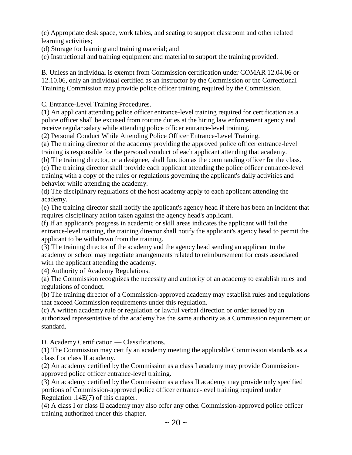(c) Appropriate desk space, work tables, and seating to support classroom and other related learning activities;

(d) Storage for learning and training material; and

(e) Instructional and training equipment and material to support the training provided.

B. Unless an individual is exempt from Commission certification under COMAR 12.04.06 or 12.10.06, only an individual certified as an instructor by the Commission or the Correctional Training Commission may provide police officer training required by the Commission.

C. Entrance-Level Training Procedures.

(1) An applicant attending police officer entrance-level training required for certification as a police officer shall be excused from routine duties at the hiring law enforcement agency and receive regular salary while attending police officer entrance-level training.

(2) Personal Conduct While Attending Police Officer Entrance-Level Training.

(a) The training director of the academy providing the approved police officer entrance-level training is responsible for the personal conduct of each applicant attending that academy.

(b) The training director, or a designee, shall function as the commanding officer for the class. (c) The training director shall provide each applicant attending the police officer entrance-level training with a copy of the rules or regulations governing the applicant's daily activities and behavior while attending the academy.

(d) The disciplinary regulations of the host academy apply to each applicant attending the academy.

(e) The training director shall notify the applicant's agency head if there has been an incident that requires disciplinary action taken against the agency head's applicant.

(f) If an applicant's progress in academic or skill areas indicates the applicant will fail the entrance-level training, the training director shall notify the applicant's agency head to permit the applicant to be withdrawn from the training.

(3) The training director of the academy and the agency head sending an applicant to the academy or school may negotiate arrangements related to reimbursement for costs associated with the applicant attending the academy.

(4) Authority of Academy Regulations.

(a) The Commission recognizes the necessity and authority of an academy to establish rules and regulations of conduct.

(b) The training director of a Commission-approved academy may establish rules and regulations that exceed Commission requirements under this regulation.

(c) A written academy rule or regulation or lawful verbal direction or order issued by an authorized representative of the academy has the same authority as a Commission requirement or standard.

D. Academy Certification — Classifications.

(1) The Commission may certify an academy meeting the applicable Commission standards as a class I or class II academy.

(2) An academy certified by the Commission as a class I academy may provide Commissionapproved police officer entrance-level training.

(3) An academy certified by the Commission as a class II academy may provide only specified portions of Commission-approved police officer entrance-level training required under Regulation .14E(7) of this chapter.

(4) A class I or class II academy may also offer any other Commission-approved police officer training authorized under this chapter.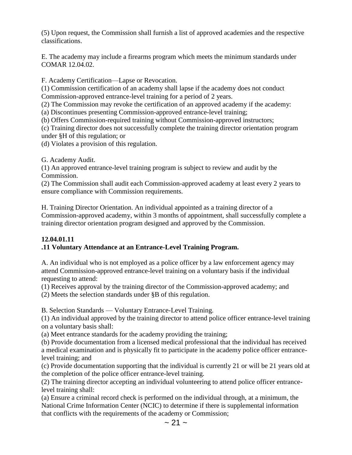(5) Upon request, the Commission shall furnish a list of approved academies and the respective classifications.

E. The academy may include a firearms program which meets the minimum standards under COMAR 12.04.02.

F. Academy Certification—Lapse or Revocation.

(1) Commission certification of an academy shall lapse if the academy does not conduct Commission-approved entrance-level training for a period of 2 years.

(2) The Commission may revoke the certification of an approved academy if the academy:

(a) Discontinues presenting Commission-approved entrance-level training;

(b) Offers Commission-required training without Commission-approved instructors;

(c) Training director does not successfully complete the training director orientation program under §H of this regulation; or

(d) Violates a provision of this regulation.

G. Academy Audit.

(1) An approved entrance-level training program is subject to review and audit by the Commission.

(2) The Commission shall audit each Commission-approved academy at least every 2 years to ensure compliance with Commission requirements.

H. Training Director Orientation. An individual appointed as a training director of a Commission-approved academy, within 3 months of appointment, shall successfully complete a training director orientation program designed and approved by the Commission.

### **12.04.01.11**

### **.11 Voluntary Attendance at an Entrance-Level Training Program.**

A. An individual who is not employed as a police officer by a law enforcement agency may attend Commission-approved entrance-level training on a voluntary basis if the individual requesting to attend:

(1) Receives approval by the training director of the Commission-approved academy; and

(2) Meets the selection standards under §B of this regulation.

B. Selection Standards — Voluntary Entrance-Level Training.

(1) An individual approved by the training director to attend police officer entrance-level training on a voluntary basis shall:

(a) Meet entrance standards for the academy providing the training;

(b) Provide documentation from a licensed medical professional that the individual has received a medical examination and is physically fit to participate in the academy police officer entrancelevel training; and

(c) Provide documentation supporting that the individual is currently 21 or will be 21 years old at the completion of the police officer entrance-level training.

(2) The training director accepting an individual volunteering to attend police officer entrancelevel training shall:

(a) Ensure a criminal record check is performed on the individual through, at a minimum, the National Crime Information Center (NCIC) to determine if there is supplemental information that conflicts with the requirements of the academy or Commission;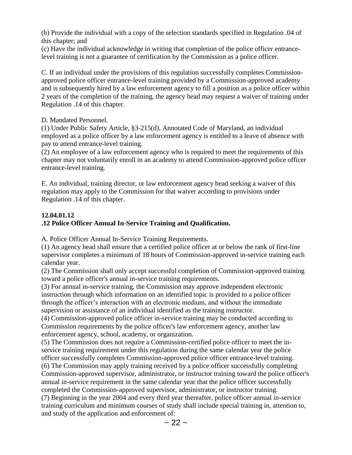(b) Provide the individual with a copy of the selection standards specified in Regulation .04 of this chapter; and

(c) Have the individual acknowledge in writing that completion of the police officer entrancelevel training is not a guarantee of certification by the Commission as a police officer.

C. If an individual under the provisions of this regulation successfully completes Commissionapproved police officer entrance-level training provided by a Commission-approved academy and is subsequently hired by a law enforcement agency to fill a position as a police officer within 2 years of the completion of the training, the agency head may request a waiver of training under Regulation .14 of this chapter.

D. Mandated Personnel.

(1) Under Public Safety Article, §3-215(d), Annotated Code of Maryland, an individual employed as a police officer by a law enforcement agency is entitled to a leave of absence with pay to attend entrance-level training.

(2) An employee of a law enforcement agency who is required to meet the requirements of this chapter may not voluntarily enroll in an academy to attend Commission-approved police officer entrance-level training.

E. An individual, training director, or law enforcement agency head seeking a waiver of this regulation may apply to the Commission for that waiver according to provisions under Regulation .14 of this chapter.

## **12.04.01.12**

## **.12 Police Officer Annual In-Service Training and Qualification.**

A. Police Officer Annual In-Service Training Requirements.

(1) An agency head shall ensure that a certified police officer at or below the rank of first-line supervisor completes a minimum of 18 hours of Commission-approved in-service training each calendar year.

(2) The Commission shall only accept successful completion of Commission-approved training toward a police officer's annual in-service training requirements.

(3) For annual in-service training, the Commission may approve independent electronic instruction through which information on an identified topic is provided to a police officer through the officer's interaction with an electronic medium, and without the immediate supervision or assistance of an individual identified as the training instructor.

(4) Commission-approved police officer in-service training may be conducted according to Commission requirements by the police officer's law enforcement agency, another law enforcement agency, school, academy, or organization.

(5) The Commission does not require a Commission-certified police officer to meet the inservice training requirement under this regulation during the same calendar year the police officer successfully completes Commission-approved police officer entrance-level training. (6) The Commission may apply training received by a police officer successfully completing Commission-approved supervisor, administrator, or instructor training toward the police officer's annual in-service requirement in the same calendar year that the police officer successfully completed the Commission-approved supervisor, administrator, or instructor training. (7) Beginning in the year 2004 and every third year thereafter, police officer annual in-service training curriculum and minimum courses of study shall include special training in, attention to, and study of the application and enforcement of: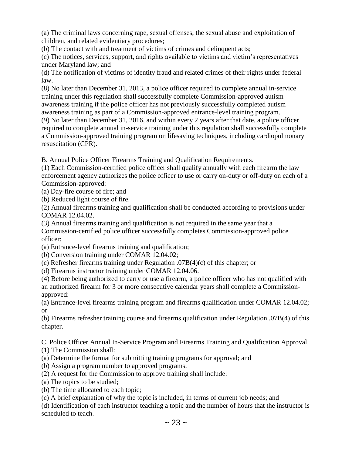(a) The criminal laws concerning rape, sexual offenses, the sexual abuse and exploitation of children, and related evidentiary procedures;

(b) The contact with and treatment of victims of crimes and delinquent acts;

(c) The notices, services, support, and rights available to victims and victim's representatives under Maryland law; and

(d) The notification of victims of identity fraud and related crimes of their rights under federal law.

(8) No later than December 31, 2013, a police officer required to complete annual in-service training under this regulation shall successfully complete Commission-approved autism awareness training if the police officer has not previously successfully completed autism awareness training as part of a Commission-approved entrance-level training program. (9) No later than December 31, 2016, and within every 2 years after that date, a police officer required to complete annual in-service training under this regulation shall successfully complete a Commission-approved training program on lifesaving techniques, including cardiopulmonary resuscitation (CPR).

B. Annual Police Officer Firearms Training and Qualification Requirements.

(1) Each Commission-certified police officer shall qualify annually with each firearm the law enforcement agency authorizes the police officer to use or carry on-duty or off-duty on each of a Commission-approved:

(a) Day-fire course of fire; and

(b) Reduced light course of fire.

(2) Annual firearms training and qualification shall be conducted according to provisions under COMAR 12.04.02.

(3) Annual firearms training and qualification is not required in the same year that a Commission-certified police officer successfully completes Commission-approved police officer:

(a) Entrance-level firearms training and qualification;

(b) Conversion training under COMAR 12.04.02;

(c) Refresher firearms training under Regulation .07B(4)(c) of this chapter; or

(d) Firearms instructor training under COMAR 12.04.06.

(4) Before being authorized to carry or use a firearm, a police officer who has not qualified with an authorized firearm for 3 or more consecutive calendar years shall complete a Commissionapproved:

(a) Entrance-level firearms training program and firearms qualification under COMAR 12.04.02; or

(b) Firearms refresher training course and firearms qualification under Regulation .07B(4) of this chapter.

C. Police Officer Annual In-Service Program and Firearms Training and Qualification Approval. (1) The Commission shall:

(a) Determine the format for submitting training programs for approval; and

(b) Assign a program number to approved programs.

(2) A request for the Commission to approve training shall include:

(a) The topics to be studied;

(b) The time allocated to each topic;

(c) A brief explanation of why the topic is included, in terms of current job needs; and

(d) Identification of each instructor teaching a topic and the number of hours that the instructor is scheduled to teach.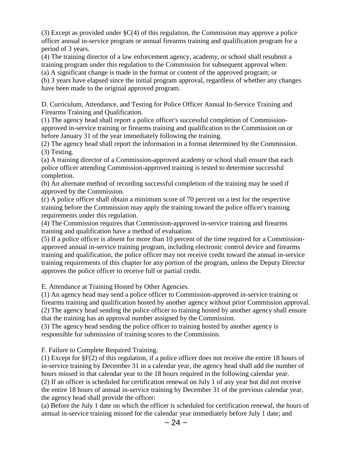(3) Except as provided under §C(4) of this regulation, the Commission may approve a police officer annual in-service program or annual firearms training and qualification program for a period of 3 years.

(4) The training director of a law enforcement agency, academy, or school shall resubmit a training program under this regulation to the Commission for subsequent approval when: (a) A significant change is made in the format or content of the approved program; or

(b) 3 years have elapsed since the initial program approval, regardless of whether any changes have been made to the original approved program.

D. Curriculum, Attendance, and Testing for Police Officer Annual In-Service Training and Firearms Training and Qualification.

(1) The agency head shall report a police officer's successful completion of Commissionapproved in-service training or firearms training and qualification to the Commission on or before January 31 of the year immediately following the training.

(2) The agency head shall report the information in a format determined by the Commission. (3) Testing.

(a) A training director of a Commission-approved academy or school shall ensure that each police officer attending Commission-approved training is tested to determine successful completion.

(b) An alternate method of recording successful completion of the training may be used if approved by the Commission.

(c) A police officer shall obtain a minimum score of 70 percent on a test for the respective training before the Commission may apply the training toward the police officer's training requirements under this regulation.

(4) The Commission requires that Commission-approved in-service training and firearms training and qualification have a method of evaluation.

(5) If a police officer is absent for more than 10 percent of the time required for a Commissionapproved annual in-service training program, including electronic control device and firearms training and qualification, the police officer may not receive credit toward the annual in-service training requirements of this chapter for any portion of the program, unless the Deputy Director approves the police officer to receive full or partial credit.

E. Attendance at Training Hosted by Other Agencies.

(1) An agency head may send a police officer to Commission-approved in-service training or firearms training and qualification hosted by another agency without prior Commission approval. (2) The agency head sending the police officer to training hosted by another agency shall ensure that the training has an approval number assigned by the Commission.

(3) The agency head sending the police officer to training hosted by another agency is responsible for submission of training scores to the Commission.

F. Failure to Complete Required Training.

(1) Except for §F(2) of this regulation, if a police officer does not receive the entire 18 hours of in-service training by December 31 in a calendar year, the agency head shall add the number of hours missed in that calendar year to the 18 hours required in the following calendar year. (2) If an officer is scheduled for certification renewal on July 1 of any year but did not receive the entire 18 hours of annual in-service training by December 31 of the previous calendar year,

the agency head shall provide the officer:

(a) Before the July 1 date on which the officer is scheduled for certification renewal, the hours of annual in-service training missed for the calendar year immediately before July 1 date; and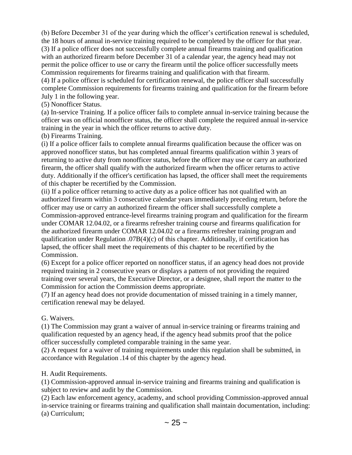(b) Before December 31 of the year during which the officer's certification renewal is scheduled, the 18 hours of annual in-service training required to be completed by the officer for that year. (3) If a police officer does not successfully complete annual firearms training and qualification with an authorized firearm before December 31 of a calendar year, the agency head may not permit the police officer to use or carry the firearm until the police officer successfully meets Commission requirements for firearms training and qualification with that firearm.

(4) If a police officer is scheduled for certification renewal, the police officer shall successfully complete Commission requirements for firearms training and qualification for the firearm before July 1 in the following year.

### (5) Nonofficer Status.

(a) In-service Training. If a police officer fails to complete annual in-service training because the officer was on official nonofficer status, the officer shall complete the required annual in-service training in the year in which the officer returns to active duty.

(b) Firearms Training.

(i) If a police officer fails to complete annual firearms qualification because the officer was on approved nonofficer status, but has completed annual firearms qualification within 3 years of returning to active duty from nonofficer status, before the officer may use or carry an authorized firearm, the officer shall qualify with the authorized firearm when the officer returns to active duty. Additionally if the officer's certification has lapsed, the officer shall meet the requirements of this chapter be recertified by the Commission.

(ii) If a police officer returning to active duty as a police officer has not qualified with an authorized firearm within 3 consecutive calendar years immediately preceding return, before the officer may use or carry an authorized firearm the officer shall successfully complete a Commission-approved entrance-level firearms training program and qualification for the firearm under COMAR 12.04.02, or a firearms refresher training course and firearms qualification for the authorized firearm under COMAR 12.04.02 or a firearms refresher training program and qualification under Regulation .07B(4)(c) of this chapter. Additionally, if certification has lapsed, the officer shall meet the requirements of this chapter to be recertified by the Commission.

(6) Except for a police officer reported on nonofficer status, if an agency head does not provide required training in 2 consecutive years or displays a pattern of not providing the required training over several years, the Executive Director, or a designee, shall report the matter to the Commission for action the Commission deems appropriate.

(7) If an agency head does not provide documentation of missed training in a timely manner, certification renewal may be delayed.

### G. Waivers.

(1) The Commission may grant a waiver of annual in-service training or firearms training and qualification requested by an agency head, if the agency head submits proof that the police officer successfully completed comparable training in the same year.

(2) A request for a waiver of training requirements under this regulation shall be submitted, in accordance with Regulation .14 of this chapter by the agency head.

### H. Audit Requirements.

(1) Commission-approved annual in-service training and firearms training and qualification is subject to review and audit by the Commission.

(2) Each law enforcement agency, academy, and school providing Commission-approved annual in-service training or firearms training and qualification shall maintain documentation, including: (a) Curriculum;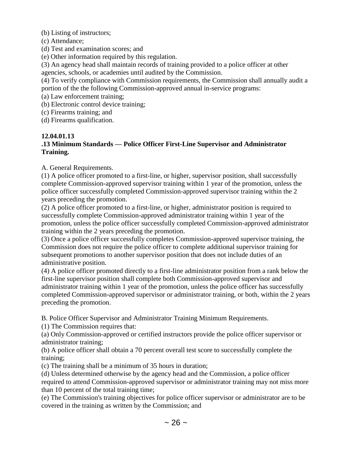(b) Listing of instructors;

- (c) Attendance;
- (d) Test and examination scores; and
- (e) Other information required by this regulation.
- (3) An agency head shall maintain records of training provided to a police officer at other agencies, schools, or academies until audited by the Commission.

(4) To verify compliance with Commission requirements, the Commission shall annually audit a portion of the the following Commission-approved annual in-service programs:

- (a) Law enforcement training;
- (b) Electronic control device training;
- (c) Firearms training; and

(d) Firearms qualification.

#### **12.04.01.13**

### **.13 Minimum Standards — Police Officer First-Line Supervisor and Administrator Training.**

A. General Requirements.

(1) A police officer promoted to a first-line, or higher, supervisor position, shall successfully complete Commission-approved supervisor training within 1 year of the promotion, unless the police officer successfully completed Commission-approved supervisor training within the 2 years preceding the promotion.

(2) A police officer promoted to a first-line, or higher, administrator position is required to successfully complete Commission-approved administrator training within 1 year of the promotion, unless the police officer successfully completed Commission-approved administrator training within the 2 years preceding the promotion.

(3) Once a police officer successfully completes Commission-approved supervisor training, the Commission does not require the police officer to complete additional supervisor training for subsequent promotions to another supervisor position that does not include duties of an administrative position.

(4) A police officer promoted directly to a first-line administrator position from a rank below the first-line supervisor position shall complete both Commission-approved supervisor and administrator training within 1 year of the promotion, unless the police officer has successfully completed Commission-approved supervisor or administrator training, or both, within the 2 years preceding the promotion.

B. Police Officer Supervisor and Administrator Training Minimum Requirements.

(1) The Commission requires that:

(a) Only Commission-approved or certified instructors provide the police officer supervisor or administrator training;

(b) A police officer shall obtain a 70 percent overall test score to successfully complete the training;

(c) The training shall be a minimum of 35 hours in duration;

(d) Unless determined otherwise by the agency head and the Commission, a police officer required to attend Commission-approved supervisor or administrator training may not miss more than 10 percent of the total training time;

(e) The Commission's training objectives for police officer supervisor or administrator are to be covered in the training as written by the Commission; and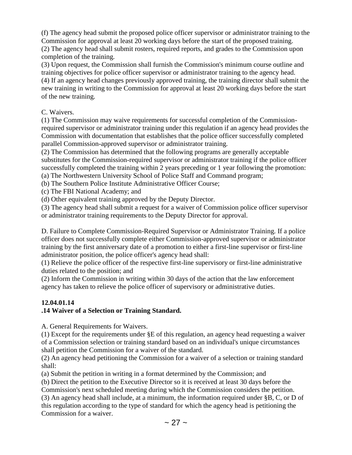(f) The agency head submit the proposed police officer supervisor or administrator training to the Commission for approval at least 20 working days before the start of the proposed training. (2) The agency head shall submit rosters, required reports, and grades to the Commission upon completion of the training.

(3) Upon request, the Commission shall furnish the Commission's minimum course outline and training objectives for police officer supervisor or administrator training to the agency head. (4) If an agency head changes previously approved training, the training director shall submit the new training in writing to the Commission for approval at least 20 working days before the start of the new training.

C. Waivers.

(1) The Commission may waive requirements for successful completion of the Commissionrequired supervisor or administrator training under this regulation if an agency head provides the Commission with documentation that establishes that the police officer successfully completed parallel Commission-approved supervisor or administrator training.

(2) The Commission has determined that the following programs are generally acceptable substitutes for the Commission-required supervisor or administrator training if the police officer successfully completed the training within 2 years preceding or 1 year following the promotion: (a) The Northwestern University School of Police Staff and Command program;

(b) The Southern Police Institute Administrative Officer Course;

(c) The FBI National Academy; and

(d) Other equivalent training approved by the Deputy Director.

(3) The agency head shall submit a request for a waiver of Commission police officer supervisor or administrator training requirements to the Deputy Director for approval.

D. Failure to Complete Commission-Required Supervisor or Administrator Training. If a police officer does not successfully complete either Commission-approved supervisor or administrator training by the first anniversary date of a promotion to either a first-line supervisor or first-line administrator position, the police officer's agency head shall:

(1) Relieve the police officer of the respective first-line supervisory or first-line administrative duties related to the position; and

(2) Inform the Commission in writing within 30 days of the action that the law enforcement agency has taken to relieve the police officer of supervisory or administrative duties.

## **12.04.01.14**

## **.14 Waiver of a Selection or Training Standard.**

A. General Requirements for Waivers.

(1) Except for the requirements under §E of this regulation, an agency head requesting a waiver of a Commission selection or training standard based on an individual's unique circumstances shall petition the Commission for a waiver of the standard.

(2) An agency head petitioning the Commission for a waiver of a selection or training standard shall:

(a) Submit the petition in writing in a format determined by the Commission; and

(b) Direct the petition to the Executive Director so it is received at least 30 days before the

Commission's next scheduled meeting during which the Commission considers the petition. (3) An agency head shall include, at a minimum, the information required under §B, C, or D of this regulation according to the type of standard for which the agency head is petitioning the

Commission for a waiver.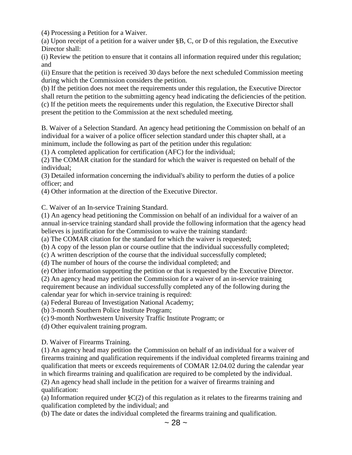(4) Processing a Petition for a Waiver.

(a) Upon receipt of a petition for a waiver under §B, C, or D of this regulation, the Executive Director shall:

(i) Review the petition to ensure that it contains all information required under this regulation; and

(ii) Ensure that the petition is received 30 days before the next scheduled Commission meeting during which the Commission considers the petition.

(b) If the petition does not meet the requirements under this regulation, the Executive Director shall return the petition to the submitting agency head indicating the deficiencies of the petition. (c) If the petition meets the requirements under this regulation, the Executive Director shall present the petition to the Commission at the next scheduled meeting.

B. Waiver of a Selection Standard. An agency head petitioning the Commission on behalf of an individual for a waiver of a police officer selection standard under this chapter shall, at a minimum, include the following as part of the petition under this regulation:

(1) A completed application for certification (AFC) for the individual;

(2) The COMAR citation for the standard for which the waiver is requested on behalf of the individual;

(3) Detailed information concerning the individual's ability to perform the duties of a police officer; and

(4) Other information at the direction of the Executive Director.

C. Waiver of an In-service Training Standard.

(1) An agency head petitioning the Commission on behalf of an individual for a waiver of an annual in-service training standard shall provide the following information that the agency head believes is justification for the Commission to waive the training standard:

(a) The COMAR citation for the standard for which the waiver is requested;

(b) A copy of the lesson plan or course outline that the individual successfully completed;

(c) A written description of the course that the individual successfully completed;

(d) The number of hours of the course the individual completed; and

(e) Other information supporting the petition or that is requested by the Executive Director.

(2) An agency head may petition the Commission for a waiver of an in-service training requirement because an individual successfully completed any of the following during the

calendar year for which in-service training is required:

(a) Federal Bureau of Investigation National Academy;

(b) 3-month Southern Police Institute Program;

(c) 9-month Northwestern University Traffic Institute Program; or

(d) Other equivalent training program.

D. Waiver of Firearms Training.

(1) An agency head may petition the Commission on behalf of an individual for a waiver of firearms training and qualification requirements if the individual completed firearms training and qualification that meets or exceeds requirements of COMAR 12.04.02 during the calendar year in which firearms training and qualification are required to be completed by the individual.

(2) An agency head shall include in the petition for a waiver of firearms training and qualification:

(a) Information required under  $\S C(2)$  of this regulation as it relates to the firearms training and qualification completed by the individual; and

(b) The date or dates the individual completed the firearms training and qualification.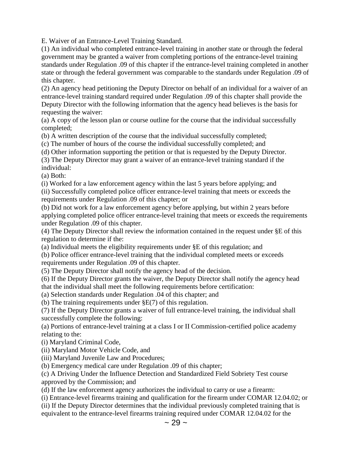E. Waiver of an Entrance-Level Training Standard.

(1) An individual who completed entrance-level training in another state or through the federal government may be granted a waiver from completing portions of the entrance-level training standards under Regulation .09 of this chapter if the entrance-level training completed in another state or through the federal government was comparable to the standards under Regulation .09 of this chapter.

(2) An agency head petitioning the Deputy Director on behalf of an individual for a waiver of an entrance-level training standard required under Regulation .09 of this chapter shall provide the Deputy Director with the following information that the agency head believes is the basis for requesting the waiver:

(a) A copy of the lesson plan or course outline for the course that the individual successfully completed;

(b) A written description of the course that the individual successfully completed;

(c) The number of hours of the course the individual successfully completed; and

(d) Other information supporting the petition or that is requested by the Deputy Director.

(3) The Deputy Director may grant a waiver of an entrance-level training standard if the individual:

(a) Both:

(i) Worked for a law enforcement agency within the last 5 years before applying; and

(ii) Successfully completed police officer entrance-level training that meets or exceeds the requirements under Regulation .09 of this chapter; or

(b) Did not work for a law enforcement agency before applying, but within 2 years before applying completed police officer entrance-level training that meets or exceeds the requirements under Regulation .09 of this chapter.

(4) The Deputy Director shall review the information contained in the request under §E of this regulation to determine if the:

(a) Individual meets the eligibility requirements under §E of this regulation; and

(b) Police officer entrance-level training that the individual completed meets or exceeds requirements under Regulation .09 of this chapter.

(5) The Deputy Director shall notify the agency head of the decision.

(6) If the Deputy Director grants the waiver, the Deputy Director shall notify the agency head that the individual shall meet the following requirements before certification:

(a) Selection standards under Regulation .04 of this chapter; and

(b) The training requirements under §E(7) of this regulation.

(7) If the Deputy Director grants a waiver of full entrance-level training, the individual shall successfully complete the following:

(a) Portions of entrance-level training at a class I or II Commission-certified police academy relating to the:

(i) Maryland Criminal Code,

(ii) Maryland Motor Vehicle Code, and

(iii) Maryland Juvenile Law and Procedures;

(b) Emergency medical care under Regulation .09 of this chapter;

(c) A Driving Under the Influence Detection and Standardized Field Sobriety Test course approved by the Commission; and

(d) If the law enforcement agency authorizes the individual to carry or use a firearm:

(i) Entrance-level firearms training and qualification for the firearm under COMAR 12.04.02; or

(ii) If the Deputy Director determines that the individual previously completed training that is equivalent to the entrance-level firearms training required under COMAR 12.04.02 for the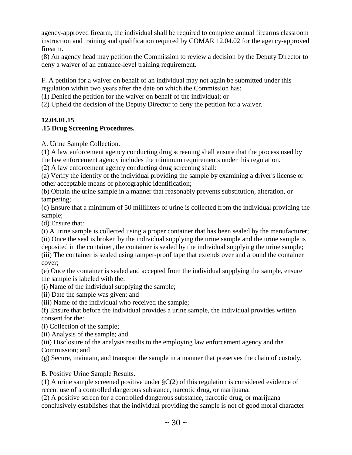agency-approved firearm, the individual shall be required to complete annual firearms classroom instruction and training and qualification required by COMAR 12.04.02 for the agency-approved firearm.

(8) An agency head may petition the Commission to review a decision by the Deputy Director to deny a waiver of an entrance-level training requirement.

F. A petition for a waiver on behalf of an individual may not again be submitted under this regulation within two years after the date on which the Commission has:

(1) Denied the petition for the waiver on behalf of the individual; or

(2) Upheld the decision of the Deputy Director to deny the petition for a waiver.

# **12.04.01.15**

# **.15 Drug Screening Procedures.**

A. Urine Sample Collection.

(1) A law enforcement agency conducting drug screening shall ensure that the process used by the law enforcement agency includes the minimum requirements under this regulation.

(2) A law enforcement agency conducting drug screening shall:

(a) Verify the identity of the individual providing the sample by examining a driver's license or other acceptable means of photographic identification;

(b) Obtain the urine sample in a manner that reasonably prevents substitution, alteration, or tampering;

(c) Ensure that a minimum of 50 milliliters of urine is collected from the individual providing the sample;

(d) Ensure that:

(i) A urine sample is collected using a proper container that has been sealed by the manufacturer;

(ii) Once the seal is broken by the individual supplying the urine sample and the urine sample is deposited in the container, the container is sealed by the individual supplying the urine sample;

(iii) The container is sealed using tamper-proof tape that extends over and around the container cover;

(e) Once the container is sealed and accepted from the individual supplying the sample, ensure the sample is labeled with the:

(i) Name of the individual supplying the sample;

(ii) Date the sample was given; and

(iii) Name of the individual who received the sample;

(f) Ensure that before the individual provides a urine sample, the individual provides written consent for the:

(i) Collection of the sample;

(ii) Analysis of the sample; and

(iii) Disclosure of the analysis results to the employing law enforcement agency and the Commission; and

(g) Secure, maintain, and transport the sample in a manner that preserves the chain of custody.

B. Positive Urine Sample Results.

(1) A urine sample screened positive under  $\S C(2)$  of this regulation is considered evidence of recent use of a controlled dangerous substance, narcotic drug, or marijuana.

(2) A positive screen for a controlled dangerous substance, narcotic drug, or marijuana conclusively establishes that the individual providing the sample is not of good moral character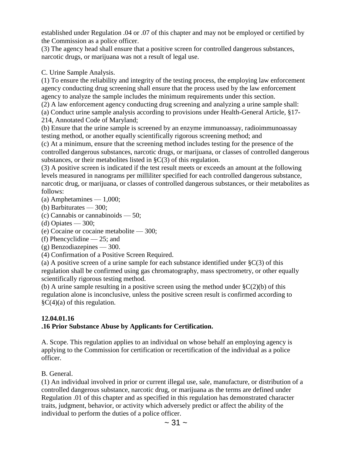established under Regulation .04 or .07 of this chapter and may not be employed or certified by the Commission as a police officer.

(3) The agency head shall ensure that a positive screen for controlled dangerous substances, narcotic drugs, or marijuana was not a result of legal use.

C. Urine Sample Analysis.

(1) To ensure the reliability and integrity of the testing process, the employing law enforcement agency conducting drug screening shall ensure that the process used by the law enforcement agency to analyze the sample includes the minimum requirements under this section.

(2) A law enforcement agency conducting drug screening and analyzing a urine sample shall:

(a) Conduct urine sample analysis according to provisions under Health-General Article, §17- 214, Annotated Code of Maryland;

(b) Ensure that the urine sample is screened by an enzyme immunoassay, radioimmunoassay testing method, or another equally scientifically rigorous screening method; and

(c) At a minimum, ensure that the screening method includes testing for the presence of the controlled dangerous substances, narcotic drugs, or marijuana, or classes of controlled dangerous substances, or their metabolites listed in §C(3) of this regulation.

(3) A positive screen is indicated if the test result meets or exceeds an amount at the following levels measured in nanograms per milliliter specified for each controlled dangerous substance, narcotic drug, or marijuana, or classes of controlled dangerous substances, or their metabolites as follows:

(a) Amphetamines — 1,000;

(b) Barbiturates — 300;

- (c) Cannabis or cannabinoids 50;
- (d) Opiates  $-300$ ;
- (e) Cocaine or cocaine metabolite 300;

(f) Phencyclidine — 25; and

(g) Benzodiazepines — 300.

(4) Confirmation of a Positive Screen Required.

(a) A positive screen of a urine sample for each substance identified under  $\S C(3)$  of this regulation shall be confirmed using gas chromatography, mass spectrometry, or other equally scientifically rigorous testing method.

(b) A urine sample resulting in a positive screen using the method under  $\S C(2)(b)$  of this regulation alone is inconclusive, unless the positive screen result is confirmed according to  $\zeta$ C(4)(a) of this regulation.

#### **12.04.01.16**

#### **.16 Prior Substance Abuse by Applicants for Certification.**

A. Scope. This regulation applies to an individual on whose behalf an employing agency is applying to the Commission for certification or recertification of the individual as a police officer.

B. General.

(1) An individual involved in prior or current illegal use, sale, manufacture, or distribution of a controlled dangerous substance, narcotic drug, or marijuana as the terms are defined under Regulation .01 of this chapter and as specified in this regulation has demonstrated character traits, judgment, behavior, or activity which adversely predict or affect the ability of the individual to perform the duties of a police officer.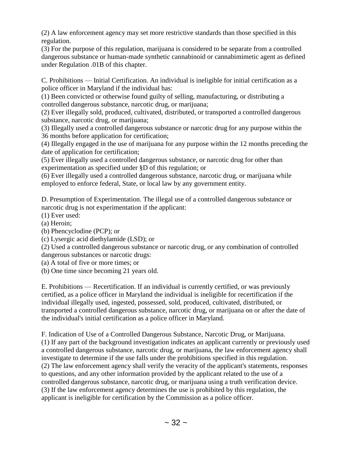(2) A law enforcement agency may set more restrictive standards than those specified in this regulation.

(3) For the purpose of this regulation, marijuana is considered to be separate from a controlled dangerous substance or human-made synthetic cannabinoid or cannabimimetic agent as defined under Regulation .01B of this chapter.

C. Prohibitions — Initial Certification. An individual is ineligible for initial certification as a police officer in Maryland if the individual has:

(1) Been convicted or otherwise found guilty of selling, manufacturing, or distributing a controlled dangerous substance, narcotic drug, or marijuana;

(2) Ever illegally sold, produced, cultivated, distributed, or transported a controlled dangerous substance, narcotic drug, or marijuana;

(3) Illegally used a controlled dangerous substance or narcotic drug for any purpose within the 36 months before application for certification;

(4) Illegally engaged in the use of marijuana for any purpose within the 12 months preceding the date of application for certification;

(5) Ever illegally used a controlled dangerous substance, or narcotic drug for other than experimentation as specified under §D of this regulation; or

(6) Ever illegally used a controlled dangerous substance, narcotic drug, or marijuana while employed to enforce federal, State, or local law by any government entity.

D. Presumption of Experimentation. The illegal use of a controlled dangerous substance or narcotic drug is not experimentation if the applicant:

(1) Ever used:

(a) Heroin;

(b) Phencyclodine (PCP); or

(c) Lysergic acid diethylamide (LSD); or

(2) Used a controlled dangerous substance or narcotic drug, or any combination of controlled dangerous substances or narcotic drugs:

(a) A total of five or more times; or

(b) One time since becoming 21 years old.

E. Prohibitions — Recertification. If an individual is currently certified, or was previously certified, as a police officer in Maryland the individual is ineligible for recertification if the individual illegally used, ingested, possessed, sold, produced, cultivated, distributed, or transported a controlled dangerous substance, narcotic drug, or marijuana on or after the date of the individual's initial certification as a police officer in Maryland.

F. Indication of Use of a Controlled Dangerous Substance, Narcotic Drug, or Marijuana. (1) If any part of the background investigation indicates an applicant currently or previously used a controlled dangerous substance, narcotic drug, or marijuana, the law enforcement agency shall investigate to determine if the use falls under the prohibitions specified in this regulation. (2) The law enforcement agency shall verify the veracity of the applicant's statements, responses to questions, and any other information provided by the applicant related to the use of a controlled dangerous substance, narcotic drug, or marijuana using a truth verification device. (3) If the law enforcement agency determines the use is prohibited by this regulation, the applicant is ineligible for certification by the Commission as a police officer.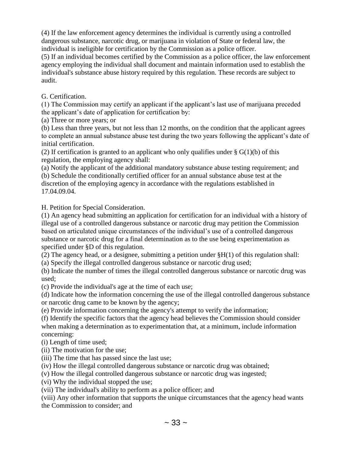(4) If the law enforcement agency determines the individual is currently using a controlled dangerous substance, narcotic drug, or marijuana in violation of State or federal law, the individual is ineligible for certification by the Commission as a police officer.

(5) If an individual becomes certified by the Commission as a police officer, the law enforcement agency employing the individual shall document and maintain information used to establish the individual's substance abuse history required by this regulation. These records are subject to audit.

G. Certification.

(1) The Commission may certify an applicant if the applicant's last use of marijuana preceded the applicant's date of application for certification by:

(a) Three or more years; or

(b) Less than three years, but not less than 12 months, on the condition that the applicant agrees to complete an annual substance abuse test during the two years following the applicant's date of initial certification.

(2) If certification is granted to an applicant who only qualifies under  $\S G(1)(b)$  of this regulation, the employing agency shall:

(a) Notify the applicant of the additional mandatory substance abuse testing requirement; and (b) Schedule the conditionally certified officer for an annual substance abuse test at the discretion of the employing agency in accordance with the regulations established in 17.04.09.04.

H. Petition for Special Consideration.

(1) An agency head submitting an application for certification for an individual with a history of illegal use of a controlled dangerous substance or narcotic drug may petition the Commission based on articulated unique circumstances of the individual's use of a controlled dangerous substance or narcotic drug for a final determination as to the use being experimentation as specified under §D of this regulation.

(2) The agency head, or a designee, submitting a petition under §H(1) of this regulation shall:

(a) Specify the illegal controlled dangerous substance or narcotic drug used;

(b) Indicate the number of times the illegal controlled dangerous substance or narcotic drug was used;

(c) Provide the individual's age at the time of each use;

(d) Indicate how the information concerning the use of the illegal controlled dangerous substance or narcotic drug came to be known by the agency;

(e) Provide information concerning the agency's attempt to verify the information;

(f) Identify the specific factors that the agency head believes the Commission should consider when making a determination as to experimentation that, at a minimum, include information concerning:

(i) Length of time used;

(ii) The motivation for the use;

(iii) The time that has passed since the last use;

(iv) How the illegal controlled dangerous substance or narcotic drug was obtained;

(v) How the illegal controlled dangerous substance or narcotic drug was ingested;

(vi) Why the individual stopped the use;

(vii) The individual's ability to perform as a police officer; and

(viii) Any other information that supports the unique circumstances that the agency head wants the Commission to consider; and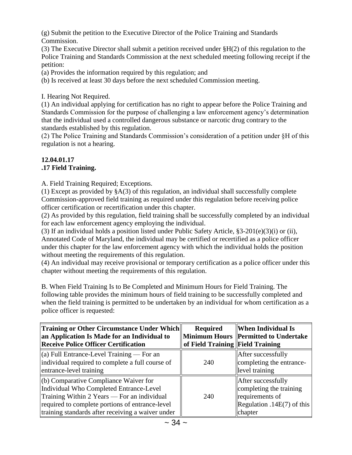(g) Submit the petition to the Executive Director of the Police Training and Standards Commission.

(3) The Executive Director shall submit a petition received under §H(2) of this regulation to the Police Training and Standards Commission at the next scheduled meeting following receipt if the petition:

(a) Provides the information required by this regulation; and

(b) Is received at least 30 days before the next scheduled Commission meeting.

I. Hearing Not Required.

(1) An individual applying for certification has no right to appear before the Police Training and Standards Commission for the purpose of challenging a law enforcement agency's determination that the individual used a controlled dangerous substance or narcotic drug contrary to the standards established by this regulation.

(2) The Police Training and Standards Commission's consideration of a petition under §H of this regulation is not a hearing.

#### **12.04.01.17 .17 Field Training.**

A. Field Training Required; Exceptions.

(1) Except as provided by §A(3) of this regulation, an individual shall successfully complete Commission-approved field training as required under this regulation before receiving police officer certification or recertification under this chapter.

(2) As provided by this regulation, field training shall be successfully completed by an individual for each law enforcement agency employing the individual.

(3) If an individual holds a position listed under Public Safety Article, §3-201(e)(3)(i) or (ii), Annotated Code of Maryland, the individual may be certified or recertified as a police officer under this chapter for the law enforcement agency with which the individual holds the position without meeting the requirements of this regulation.

(4) An individual may receive provisional or temporary certification as a police officer under this chapter without meeting the requirements of this regulation.

B. When Field Training Is to Be Completed and Minimum Hours for Field Training. The following table provides the minimum hours of field training to be successfully completed and when the field training is permitted to be undertaken by an individual for whom certification as a police officer is requested:

| Training or Other Circumstance Under Which<br>an Application Is Made for an Individual to<br><b>Receive Police Officer Certification</b>                                                                                                | <b>Required</b><br>of Field Training Field Training | <b>When Individual Is</b><br>Minimum Hours   Permitted to Undertake                                       |
|-----------------------------------------------------------------------------------------------------------------------------------------------------------------------------------------------------------------------------------------|-----------------------------------------------------|-----------------------------------------------------------------------------------------------------------|
| (a) Full Entrance-Level Training $-$ For an<br>individual required to complete a full course of<br>entrance-level training                                                                                                              | 240                                                 | After successfully<br>completing the entrance-<br>level training                                          |
| (b) Comparative Compliance Waiver for<br>Individual Who Completed Entrance-Level<br>Training Within 2 Years — For an individual<br>required to complete portions of entrance-level<br>training standards after receiving a waiver under | 240                                                 | After successfully<br>completing the training<br>requirements of<br>Regulation .14E(7) of this<br>chapter |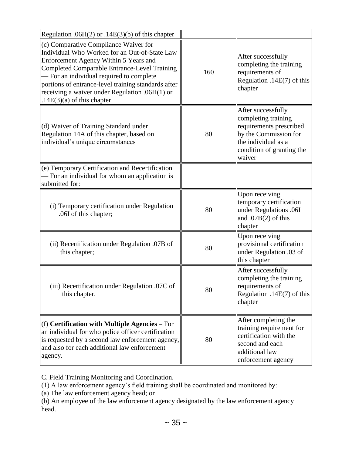| Regulation .06H $(2)$ or .14E $(3)(b)$ of this chapter                                                                                                                                                                                                                                                                                                                      |     |                                                                                                                                                             |
|-----------------------------------------------------------------------------------------------------------------------------------------------------------------------------------------------------------------------------------------------------------------------------------------------------------------------------------------------------------------------------|-----|-------------------------------------------------------------------------------------------------------------------------------------------------------------|
| (c) Comparative Compliance Waiver for<br>Individual Who Worked for an Out-of-State Law<br>Enforcement Agency Within 5 Years and<br><b>Completed Comparable Entrance-Level Training</b><br>- For an individual required to complete<br>portions of entrance-level training standards after<br>receiving a waiver under Regulation .06H(1) or<br>$.14E(3)(a)$ of this chapter | 160 | After successfully<br>completing the training<br>requirements of<br>Regulation .14 $E(7)$ of this<br>chapter                                                |
| (d) Waiver of Training Standard under<br>Regulation 14A of this chapter, based on<br>individual's unique circumstances                                                                                                                                                                                                                                                      | 80  | After successfully<br>completing training<br>requirements prescribed<br>by the Commission for<br>the individual as a<br>condition of granting the<br>waiver |
| (e) Temporary Certification and Recertification<br>- For an individual for whom an application is<br>submitted for:                                                                                                                                                                                                                                                         |     |                                                                                                                                                             |
| (i) Temporary certification under Regulation<br>.06I of this chapter;                                                                                                                                                                                                                                                                                                       | 80  | Upon receiving<br>temporary certification<br>under Regulations .06I<br>and .07B $(2)$ of this<br>chapter                                                    |
| (ii) Recertification under Regulation .07B of<br>this chapter;                                                                                                                                                                                                                                                                                                              | 80  | Upon receiving<br>provisional certification<br>under Regulation .03 of<br>this chapter                                                                      |
| (iii) Recertification under Regulation .07C of<br>this chapter.                                                                                                                                                                                                                                                                                                             | 80  | After successfully<br>completing the training<br>requirements of<br>Regulation .14 $E(7)$ of this<br>chapter                                                |
| $(f)$ Certification with Multiple Agencies – For<br>an individual for who police officer certification<br>is requested by a second law enforcement agency,<br>and also for each additional law enforcement<br>agency.                                                                                                                                                       | 80  | After completing the<br>training requirement for<br>certification with the<br>second and each<br>additional law<br>enforcement agency                       |

C. Field Training Monitoring and Coordination.

(1) A law enforcement agency's field training shall be coordinated and monitored by:

(a) The law enforcement agency head; or

(b) An employee of the law enforcement agency designated by the law enforcement agency head.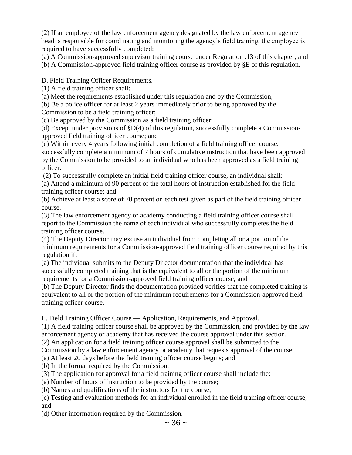(2) If an employee of the law enforcement agency designated by the law enforcement agency head is responsible for coordinating and monitoring the agency's field training, the employee is required to have successfully completed:

(a) A Commission-approved supervisor training course under Regulation .13 of this chapter; and

(b) A Commission-approved field training officer course as provided by §E of this regulation.

D. Field Training Officer Requirements.

(1) A field training officer shall:

(a) Meet the requirements established under this regulation and by the Commission;

(b) Be a police officer for at least 2 years immediately prior to being approved by the

Commission to be a field training officer;

(c) Be approved by the Commission as a field training officer;

(d) Except under provisions of  $$D(4)$  of this regulation, successfully complete a Commissionapproved field training officer course; and

(e) Within every 4 years following initial completion of a field training officer course, successfully complete a minimum of 7 hours of cumulative instruction that have been approved by the Commission to be provided to an individual who has been approved as a field training officer.

(2) To successfully complete an initial field training officer course, an individual shall: (a) Attend a minimum of 90 percent of the total hours of instruction established for the field training officer course; and

(b) Achieve at least a score of 70 percent on each test given as part of the field training officer course.

(3) The law enforcement agency or academy conducting a field training officer course shall report to the Commission the name of each individual who successfully completes the field training officer course.

(4) The Deputy Director may excuse an individual from completing all or a portion of the minimum requirements for a Commission-approved field training officer course required by this regulation if:

(a) The individual submits to the Deputy Director documentation that the individual has successfully completed training that is the equivalent to all or the portion of the minimum requirements for a Commission-approved field training officer course; and

(b) The Deputy Director finds the documentation provided verifies that the completed training is equivalent to all or the portion of the minimum requirements for a Commission-approved field training officer course.

E. Field Training Officer Course — Application, Requirements, and Approval.

(1) A field training officer course shall be approved by the Commission, and provided by the law enforcement agency or academy that has received the course approval under this section.

(2) An application for a field training officer course approval shall be submitted to the

Commission by a law enforcement agency or academy that requests approval of the course:

(a) At least 20 days before the field training officer course begins; and

(b) In the format required by the Commission.

(3) The application for approval for a field training officer course shall include the:

(a) Number of hours of instruction to be provided by the course;

(b) Names and qualifications of the instructors for the course;

(c) Testing and evaluation methods for an individual enrolled in the field training officer course; and

(d) Other information required by the Commission.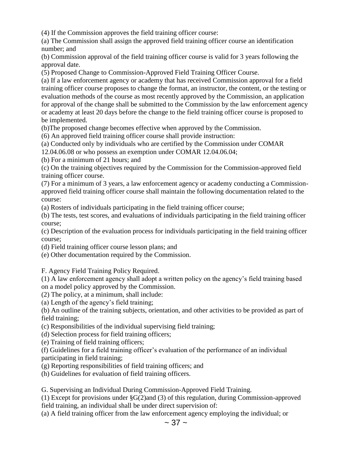(4) If the Commission approves the field training officer course:

(a) The Commission shall assign the approved field training officer course an identification number; and

(b) Commission approval of the field training officer course is valid for 3 years following the approval date.

(5) Proposed Change to Commission-Approved Field Training Officer Course.

(a) If a law enforcement agency or academy that has received Commission approval for a field training officer course proposes to change the format, an instructor, the content, or the testing or evaluation methods of the course as most recently approved by the Commission, an application for approval of the change shall be submitted to the Commission by the law enforcement agency or academy at least 20 days before the change to the field training officer course is proposed to be implemented.

(b)The proposed change becomes effective when approved by the Commission.

(6) An approved field training officer course shall provide instruction:

(a) Conducted only by individuals who are certified by the Commission under COMAR

12.04.06.08 or who possess an exemption under COMAR 12.04.06.04;

(b) For a minimum of 21 hours; and

(c) On the training objectives required by the Commission for the Commission-approved field training officer course.

(7) For a minimum of 3 years, a law enforcement agency or academy conducting a Commissionapproved field training officer course shall maintain the following documentation related to the course:

(a) Rosters of individuals participating in the field training officer course;

(b) The tests, test scores, and evaluations of individuals participating in the field training officer course;

(c) Description of the evaluation process for individuals participating in the field training officer course;

(d) Field training officer course lesson plans; and

(e) Other documentation required by the Commission.

F. Agency Field Training Policy Required.

(1) A law enforcement agency shall adopt a written policy on the agency's field training based on a model policy approved by the Commission.

(2) The policy, at a minimum, shall include:

(a) Length of the agency's field training;

(b) An outline of the training subjects, orientation, and other activities to be provided as part of field training;

(c) Responsibilities of the individual supervising field training;

(d) Selection process for field training officers;

(e) Training of field training officers;

(f) Guidelines for a field training officer's evaluation of the performance of an individual participating in field training;

(g) Reporting responsibilities of field training officers; and

(h) Guidelines for evaluation of field training officers.

G. Supervising an Individual During Commission-Approved Field Training.

(1) Except for provisions under §G(2)and (3) of this regulation, during Commission-approved field training, an individual shall be under direct supervision of:

(a) A field training officer from the law enforcement agency employing the individual; or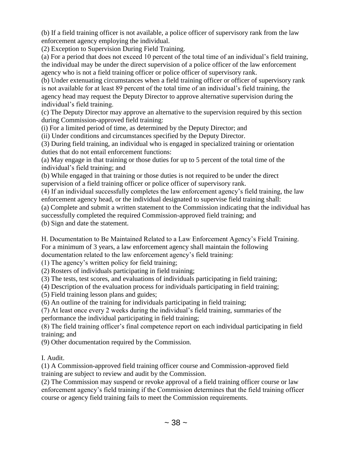(b) If a field training officer is not available, a police officer of supervisory rank from the law enforcement agency employing the individual.

(2) Exception to Supervision During Field Training.

(a) For a period that does not exceed 10 percent of the total time of an individual's field training, the individual may be under the direct supervision of a police officer of the law enforcement agency who is not a field training officer or police officer of supervisory rank.

(b) Under extenuating circumstances when a field training officer or officer of supervisory rank is not available for at least 89 percent of the total time of an individual's field training, the agency head may request the Deputy Director to approve alternative supervision during the individual's field training.

(c) The Deputy Director may approve an alternative to the supervision required by this section during Commission-approved field training:

(i) For a limited period of time, as determined by the Deputy Director; and

(ii) Under conditions and circumstances specified by the Deputy Director.

(3) During field training, an individual who is engaged in specialized training or orientation duties that do not entail enforcement functions:

(a) May engage in that training or those duties for up to 5 percent of the total time of the individual's field training; and

(b) While engaged in that training or those duties is not required to be under the direct supervision of a field training officer or police officer of supervisory rank.

(4) If an individual successfully completes the law enforcement agency's field training, the law enforcement agency head, or the individual designated to supervise field training shall:

(a) Complete and submit a written statement to the Commission indicating that the individual has successfully completed the required Commission-approved field training; and

(b) Sign and date the statement.

H. Documentation to Be Maintained Related to a Law Enforcement Agency's Field Training. For a minimum of 3 years, a law enforcement agency shall maintain the following documentation related to the law enforcement agency's field training:

(1) The agency's written policy for field training;

(2) Rosters of individuals participating in field training;

(3) The tests, test scores, and evaluations of individuals participating in field training;

(4) Description of the evaluation process for individuals participating in field training;

(5) Field training lesson plans and guides;

(6) An outline of the training for individuals participating in field training;

(7) At least once every 2 weeks during the individual's field training, summaries of the performance the individual participating in field training;

(8) The field training officer's final competence report on each individual participating in field training; and

(9) Other documentation required by the Commission.

## I. Audit.

(1) A Commission-approved field training officer course and Commission-approved field training are subject to review and audit by the Commission.

(2) The Commission may suspend or revoke approval of a field training officer course or law enforcement agency's field training if the Commission determines that the field training officer course or agency field training fails to meet the Commission requirements.